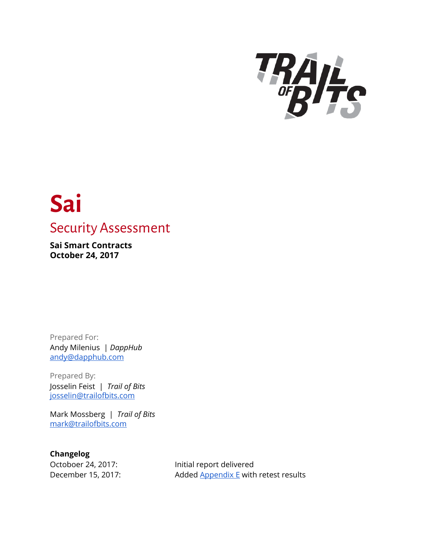

# **Sai** Security Assessment

**Sai Smart Contracts October 24, 2017**

Prepared For: Andy Milenius | *DappHub* [andy@dapphub.com](mailto:andy@dapphub.com)

Prepared By: Josselin Feist | *Trail of Bits* [josselin@trailofbits.com](mailto:josselin@trailofbits.com)

Mark Mossberg | *Trail of Bits* [mark@trailofbits.com](mailto:felipe@trailofbits.com)

**Changelog**

Octoboer 24, 2017: Initial report delivered December 15, 2017: Added [Appendix](#page-50-0) E with retest results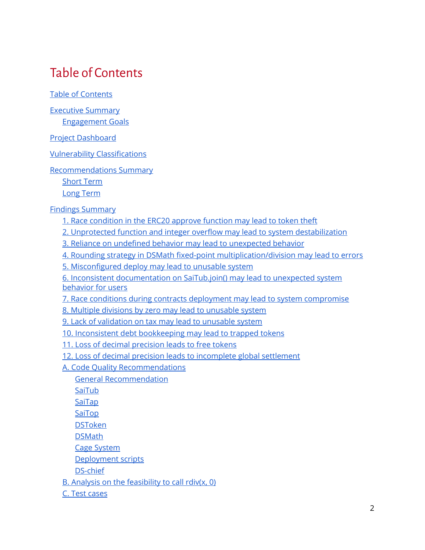## <span id="page-1-0"></span>Table of Contents

Table of [Contents](#page-1-0)

Executive [Summary](#page-3-0)

[Engagement](#page-4-0) Goals

Project [Dashboard](#page-5-0)

Vulnerability [Classifications](#page-6-0)

[Recommendations](#page-8-0) Summary

[Short](#page-8-1) Term

Long [Term](#page-8-2)

Findings [Summary](#page-9-0)

- 1. Race [condition](#page-10-0) in the ERC20 approve function may lead to token theft
- 2. Unprotected function and integer overflow may lead to system [destabilization](#page-12-0)
- 3. Reliance on undefined behavior may lead to [unexpected](#page-14-0) behavior
- 4. Rounding strategy in DSMath fixed-point [multiplication/division](#page-16-0) may lead to errors
- 5. [Misconfigured](#page-18-0) deploy may lead to unusable system

6. Inconsistent [documentation](#page-20-0) on SaiTub.join() may lead to unexpected system [behavior](#page-20-0) for users

7. Race conditions during contracts deployment may lead to system [compromise](#page-22-0)

- 8. Multiple divisions by zero may lead to [unusable](#page-23-0) system
- 9. Lack of [validation](#page-24-0) on tax may lead to unusable system
- 10. Inconsistent debt [bookkeeping](#page-26-0) may lead to trapped tokens
- 11. Loss of decimal [precision](#page-28-0) leads to free tokens
- 12. Loss of decimal precision leads to [incomplete](#page-31-0) global settlement
- A. Code Quality [Recommendations](#page-33-0)
	- General [Recommendation](#page-33-1)
	- [SaiTub](#page-33-2)
	- [SaiTap](#page-33-3)
	- [SaiTop](#page-33-4)
	- [DSToken](#page-33-5)
	- **[DSMath](#page-33-6)**
	- Cage [System](#page-34-0)
	- [Deployment](#page-34-1) scripts
	- [DS-chief](#page-34-2)
- B. Analysis on the [feasibility](#page-35-0) to call rdiv(x, 0)
- C. Test [cases](#page-38-0)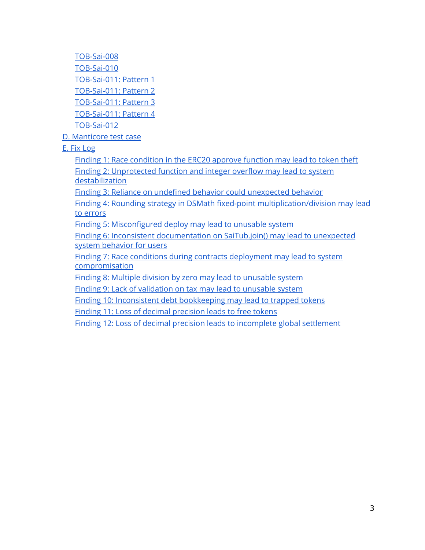[TOB-Sai-008](#page-38-1) [TOB-Sai-010](#page-40-0) [TOB-Sai-011:](#page-41-0) Pattern 1 [TOB-Sai-011:](#page-42-0) Pattern 2 [TOB-Sai-011:](#page-43-0) Pattern 3 [TOB-Sai-011:](#page-44-0) Pattern 4 [TOB-Sai-012](#page-45-0)

D. [Manticore](#page-46-0) test case

E. Fix [Log](#page-50-0)

Finding 1: Race [condition](#page-50-1) in the ERC20 approve function may lead to token theft Finding 2: [Unprotected](#page-50-2) function and integer overflow may lead to system [destabilization](#page-50-2)

Finding 3: Reliance on undefined behavior could [unexpected](#page-50-3) behavior

Finding 4: Rounding strategy in DSMath fixed-point [multiplication/division](#page-50-4) may lead to [errors](#page-50-4)

Finding 5: [Misconfigured](#page-50-5) deploy may lead to unusable system

Finding 6: Inconsistent [documentation](#page-51-0) on SaiTub.join() may lead to unexpected system [behavior](#page-51-0) for users

Finding 7: Race conditions during contracts [deployment](#page-51-1) may lead to system [compromisation](#page-51-1)

Finding 8: Multiple division by zero may lead to [unusable](#page-51-2) system

Finding 9: Lack of [validation](#page-51-3) on tax may lead to unusable system

Finding 10: Inconsistent debt [bookkeeping](#page-51-4) may lead to trapped tokens

Finding 11: Loss of decimal [precision](#page-52-0) leads to free tokens

Finding 12: Loss of decimal precision leads to [incomplete](#page-52-1) global settlement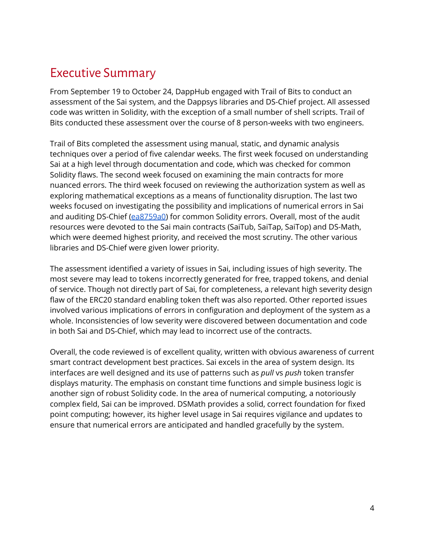## <span id="page-3-0"></span>Executive Summary

From September 19 to October 24, DappHub engaged with Trail of Bits to conduct an assessment of the Sai system, and the Dappsys libraries and DS-Chief project. All assessed code was written in Solidity, with the exception of a small number of shell scripts. Trail of Bits conducted these assessment over the course of 8 person-weeks with two engineers.

Trail of Bits completed the assessment using manual, static, and dynamic analysis techniques over a period of five calendar weeks. The first week focused on understanding Sai at a high level through documentation and code, which was checked for common Solidity flaws. The second week focused on examining the main contracts for more nuanced errors. The third week focused on reviewing the authorization system as well as exploring mathematical exceptions as a means of functionality disruption. The last two weeks focused on investigating the possibility and implications of numerical errors in Sai and auditing DS-Chief [\(ea8759a0\)](https://github.com/dapphub/ds-chief/commit/ea8759a0a5f1b9724ac1c328d85a57eb1b3c9557) for common Solidity errors. Overall, most of the audit resources were devoted to the Sai main contracts (SaiTub, SaiTap, SaiTop) and DS-Math, which were deemed highest priority, and received the most scrutiny. The other various libraries and DS-Chief were given lower priority.

The assessment identified a variety of issues in Sai, including issues of high severity. The most severe may lead to tokens incorrectly generated for free, trapped tokens, and denial of service. Though not directly part of Sai, for completeness, a relevant high severity design flaw of the ERC20 standard enabling token theft was also reported. Other reported issues involved various implications of errors in configuration and deployment of the system as a whole. Inconsistencies of low severity were discovered between documentation and code in both Sai and DS-Chief, which may lead to incorrect use of the contracts.

Overall, the code reviewed is of excellent quality, written with obvious awareness of current smart contract development best practices. Sai excels in the area of system design. Its interfaces are well designed and its use of patterns such as *pull* vs *push* token transfer displays maturity. The emphasis on constant time functions and simple business logic is another sign of robust Solidity code. In the area of numerical computing, a notoriously complex field, Sai can be improved. DSMath provides a solid, correct foundation for fixed point computing; however, its higher level usage in Sai requires vigilance and updates to ensure that numerical errors are anticipated and handled gracefully by the system.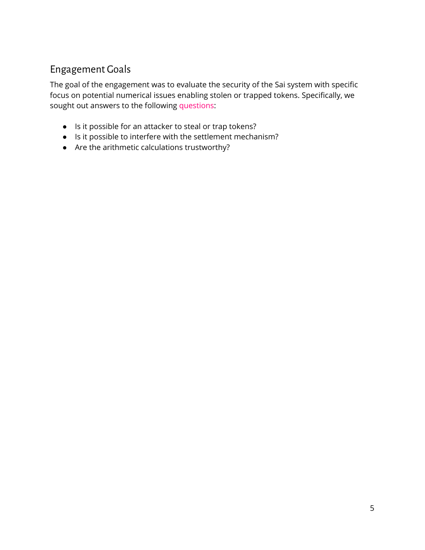## <span id="page-4-0"></span>Engagement Goals

The goal of the engagement was to evaluate the security of the Sai system with specific focus on potential numerical issues enabling stolen or trapped tokens. Specifically, we sought out answers to the following questions:

- Is it possible for an attacker to steal or trap tokens?
- Is it possible to interfere with the settlement mechanism?
- Are the arithmetic calculations trustworthy?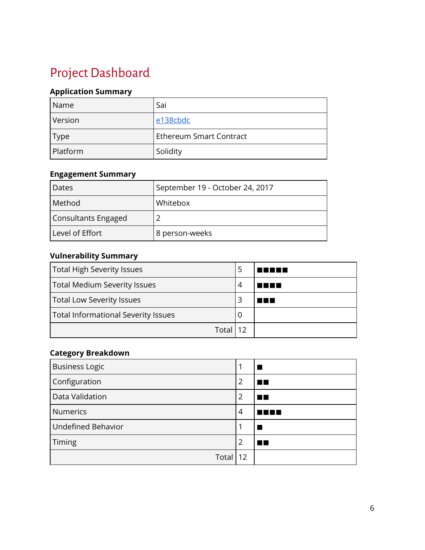## <span id="page-5-0"></span>Project Dashboard

### **Application Summary**

| Name        | Sai                            |
|-------------|--------------------------------|
| Version     | e138cbdc                       |
| <b>Type</b> | <b>Ethereum Smart Contract</b> |
| Platform    | Solidity                       |

#### **Engagement Summary**

| Dates               | September 19 - October 24, 2017 |
|---------------------|---------------------------------|
| Method              | <b>Whitebox</b>                 |
| Consultants Engaged |                                 |
| Level of Effort     | 8 person-weeks                  |

#### **Vulnerability Summary**

| Total High Severity Issues                 |   |      |
|--------------------------------------------|---|------|
| <b>Total Medium Severity Issues</b>        | 4 | TEET |
| Total Low Severity Issues                  |   | . .  |
| <b>Total Informational Severity Issues</b> | O |      |
| Total 12                                   |   |      |

## **Category Breakdown**

| <b>Business Logic</b>     |                |      |
|---------------------------|----------------|------|
| Configuration             | $\overline{2}$ | . .  |
| Data Validation           | 2              | T 13 |
| <b>Numerics</b>           | 4              | ш    |
| <b>Undefined Behavior</b> |                |      |
| Timing                    | 2              | . .  |
| Total $ 12 $              |                |      |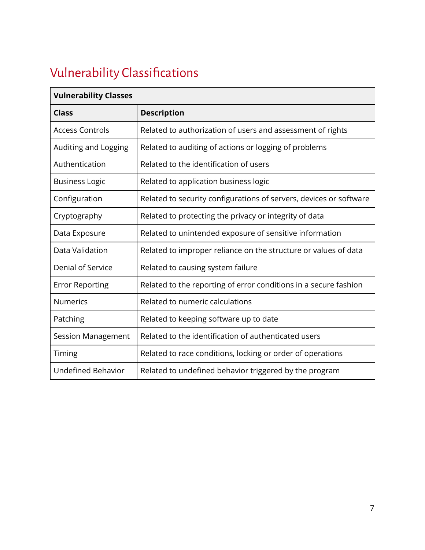## <span id="page-6-0"></span>Vulnerability Classifications

| <b>Vulnerability Classes</b> |                                                                    |
|------------------------------|--------------------------------------------------------------------|
| <b>Class</b>                 | <b>Description</b>                                                 |
| <b>Access Controls</b>       | Related to authorization of users and assessment of rights         |
| Auditing and Logging         | Related to auditing of actions or logging of problems              |
| Authentication               | Related to the identification of users                             |
| <b>Business Logic</b>        | Related to application business logic                              |
| Configuration                | Related to security configurations of servers, devices or software |
| Cryptography                 | Related to protecting the privacy or integrity of data             |
| Data Exposure                | Related to unintended exposure of sensitive information            |
| Data Validation              | Related to improper reliance on the structure or values of data    |
| Denial of Service            | Related to causing system failure                                  |
| <b>Error Reporting</b>       | Related to the reporting of error conditions in a secure fashion   |
| <b>Numerics</b>              | Related to numeric calculations                                    |
| Patching                     | Related to keeping software up to date                             |
| <b>Session Management</b>    | Related to the identification of authenticated users               |
| Timing                       | Related to race conditions, locking or order of operations         |
| <b>Undefined Behavior</b>    | Related to undefined behavior triggered by the program             |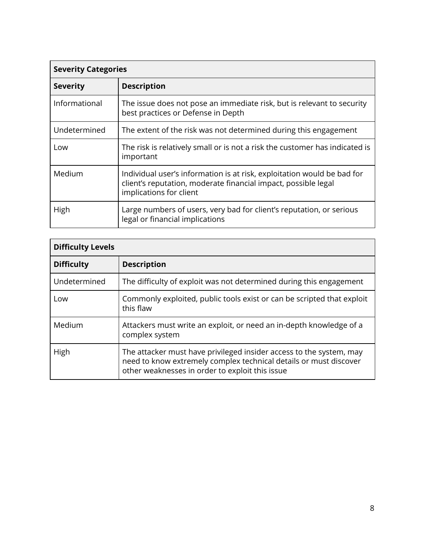| <b>Severity Categories</b> |                                                                                                                                                                      |  |  |  |  |  |  |
|----------------------------|----------------------------------------------------------------------------------------------------------------------------------------------------------------------|--|--|--|--|--|--|
| <b>Severity</b>            | <b>Description</b>                                                                                                                                                   |  |  |  |  |  |  |
| Informational              | The issue does not pose an immediate risk, but is relevant to security<br>best practices or Defense in Depth                                                         |  |  |  |  |  |  |
| Undetermined               | The extent of the risk was not determined during this engagement                                                                                                     |  |  |  |  |  |  |
| Low                        | The risk is relatively small or is not a risk the customer has indicated is<br>important                                                                             |  |  |  |  |  |  |
| Medium                     | Individual user's information is at risk, exploitation would be bad for<br>client's reputation, moderate financial impact, possible legal<br>implications for client |  |  |  |  |  |  |
| High                       | Large numbers of users, very bad for client's reputation, or serious<br>legal or financial implications                                                              |  |  |  |  |  |  |

| <b>Difficulty Levels</b> |                                                                                                                                                                                             |  |  |  |  |  |  |
|--------------------------|---------------------------------------------------------------------------------------------------------------------------------------------------------------------------------------------|--|--|--|--|--|--|
| <b>Difficulty</b>        | <b>Description</b>                                                                                                                                                                          |  |  |  |  |  |  |
| Undetermined             | The difficulty of exploit was not determined during this engagement                                                                                                                         |  |  |  |  |  |  |
| Low                      | Commonly exploited, public tools exist or can be scripted that exploit<br>this flaw                                                                                                         |  |  |  |  |  |  |
| Medium                   | Attackers must write an exploit, or need an in-depth knowledge of a<br>complex system                                                                                                       |  |  |  |  |  |  |
| High                     | The attacker must have privileged insider access to the system, may<br>need to know extremely complex technical details or must discover<br>other weaknesses in order to exploit this issue |  |  |  |  |  |  |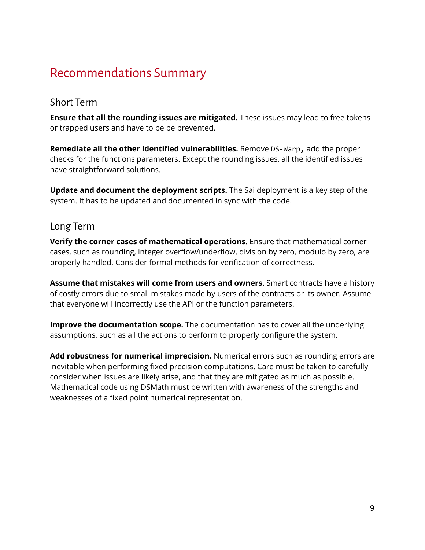## <span id="page-8-0"></span>Recommendations Summary

## <span id="page-8-1"></span>Short Term

**Ensure that all the rounding issues are mitigated.** These issues may lead to free tokens or trapped users and have to be be prevented.

**Remediate all the other identified vulnerabilities.** Remove DS-Warp, add the proper checks for the functions parameters. Except the rounding issues, all the identified issues have straightforward solutions.

**Update and document the deployment scripts.** The Sai deployment is a key step of the system. It has to be updated and documented in sync with the code.

#### <span id="page-8-2"></span>Long Term

**Verify the corner cases of mathematical operations.** Ensure that mathematical corner cases, such as rounding, integer overflow/underflow, division by zero, modulo by zero, are properly handled. Consider formal methods for verification of correctness.

**Assume that mistakes will come from users and owners.** Smart contracts have a history of costly errors due to small mistakes made by users of the contracts or its owner. Assume that everyone will incorrectly use the API or the function parameters.

**Improve the documentation scope.** The documentation has to cover all the underlying assumptions, such as all the actions to perform to properly configure the system.

**Add robustness for numerical imprecision.** Numerical errors such as rounding errors are inevitable when performing fixed precision computations. Care must be taken to carefully consider when issues are likely arise, and that they are mitigated as much as possible. Mathematical code using DSMath must be written with awareness of the strengths and weaknesses of a fixed point numerical representation.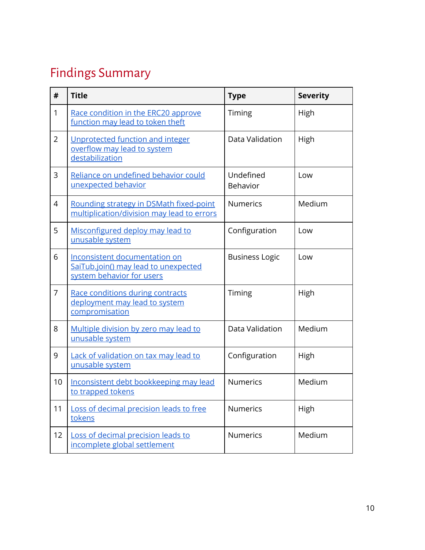## <span id="page-9-0"></span>Findings Summary

| #              | <b>Title</b>                                                                                       | <b>Type</b>           | <b>Severity</b> |
|----------------|----------------------------------------------------------------------------------------------------|-----------------------|-----------------|
| 1              | Race condition in the ERC20 approve<br>function may lead to token theft                            | Timing                | High            |
| $\overline{2}$ | Unprotected function and integer<br>overflow may lead to system<br>destabilization                 | Data Validation       | High            |
| 3              | Reliance on undefined behavior could<br>unexpected behavior                                        | Undefined<br>Behavior | Low             |
| 4              | Rounding strategy in DSMath fixed-point<br>multiplication/division may lead to errors              | <b>Numerics</b>       | Medium          |
| 5              | Misconfigured deploy may lead to<br>unusable system                                                | Configuration         | Low             |
| 6              | Inconsistent documentation on<br>SaiTub.join() may lead to unexpected<br>system behavior for users | <b>Business Logic</b> | Low             |
| 7              | Race conditions during contracts<br>deployment may lead to system<br>compromisation                | Timing                | High            |
| 8              | Multiple division by zero may lead to<br>unusable system                                           | Data Validation       | Medium          |
| 9              | Lack of validation on tax may lead to<br>unusable system                                           | Configuration         | High            |
| 10             | Inconsistent debt bookkeeping may lead<br>to trapped tokens                                        | <b>Numerics</b>       | Medium          |
| 11             | Loss of decimal precision leads to free<br>tokens                                                  | <b>Numerics</b>       | High            |
| 12             | Loss of decimal precision leads to<br>incomplete global settlement                                 | <b>Numerics</b>       | Medium          |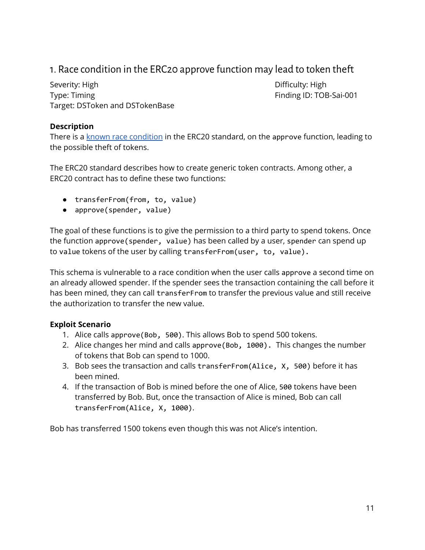## <span id="page-10-0"></span>1. Race condition in the ERC20 approve function may lead to token theft

Severity: High Difficulty: High Difficulty: High Difficulty: High Difficulty: High Type: Timing Type: Timing Type: Timing ID: TOB-Sai-001 Target: DSToken and DSTokenBase

#### **Description**

There is a known race [condition](https://github.com/ethereum/EIPs/issues/20#issuecomment-263524729) in the ERC20 standard, on the approve function, leading to the possible theft of tokens.

The ERC20 standard describes how to create generic token contracts. Among other, a ERC20 contract has to define these two functions:

- transferFrom(from, to, value)
- approve(spender, value)

The goal of these functions is to give the permission to a third party to spend tokens. Once the function approve(spender, value) has been called by a user, spender can spend up to value tokens of the user by calling transferFrom(user, to, value).

This schema is vulnerable to a race condition when the user calls approve a second time on an already allowed spender. If the spender sees the transaction containing the call before it has been mined, they can call transferFrom to transfer the previous value and still receive the authorization to transfer the new value.

#### **Exploit Scenario**

- 1. Alice calls approve(Bob, 500). This allows Bob to spend 500 tokens.
- 2. Alice changes her mind and calls approve(Bob, 1000). This changes the number of tokens that Bob can spend to 1000.
- 3. Bob sees the transaction and calls transferFrom(Alice, X, 500) before it has been mined.
- 4. If the transaction of Bob is mined before the one of Alice, 500 tokens have been transferred by Bob. But, once the transaction of Alice is mined, Bob can call transferFrom(Alice, X, 1000).

Bob has transferred 1500 tokens even though this was not Alice's intention.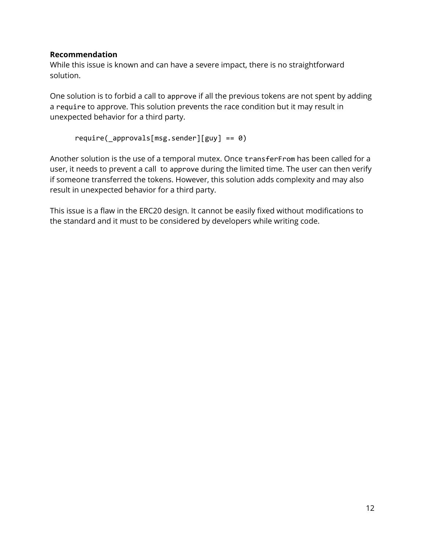#### **Recommendation**

While this issue is known and can have a severe impact, there is no straightforward solution.

One solution is to forbid a call to approve if all the previous tokens are not spent by adding a require to approve. This solution prevents the race condition but it may result in unexpected behavior for a third party.

```
require(_approvals[msg.sender][guy] == 0)
```
Another solution is the use of a temporal mutex. Once transferFrom has been called for a user, it needs to prevent a call to approve during the limited time. The user can then verify if someone transferred the tokens. However, this solution adds complexity and may also result in unexpected behavior for a third party.

This issue is a flaw in the ERC20 design. It cannot be easily fixed without modifications to the standard and it must to be considered by developers while writing code.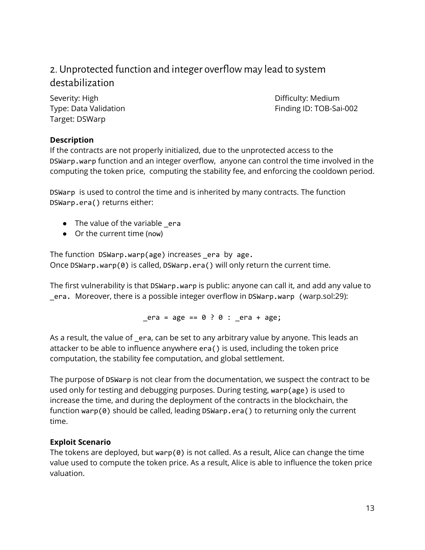## <span id="page-12-0"></span>2. Unprotected function and integer overflow may lead to system destabilization

Severity: High Difficulty: Medium Target: DSWarp

Type: Data Validation Finding ID: TOB-Sai-002

#### **Description**

If the contracts are not properly initialized, due to the unprotected access to the DSWarp.warp function and an integer overflow, anyone can control the time involved in the computing the token price, computing the stability fee, and enforcing the cooldown period.

DSWarp is used to control the time and is inherited by many contracts. The function DSWarp.era() returns either:

- The value of the variable \_era
- Or the current time (now)

The function DSWarp.warp(age) increases \_era by age. Once DSWarp.warp(0) is called, DSWarp.era() will only return the current time.

The first vulnerability is that DSWarp.warp is public: anyone can call it, and add any value to \_era. Moreover, there is a possible integer overflow in DSWarp.warp (warp.sol:29):

 $era = age == 0 : 0 : era + age;$ 

As a result, the value of \_era, can be set to any arbitrary value by anyone. This leads an attacker to be able to influence anywhere era() is used, including the token price computation, the stability fee computation, and global settlement.

The purpose of DSWarp is not clear from the documentation, we suspect the contract to be used only for testing and debugging purposes. During testing, warp(age) is used to increase the time, and during the deployment of the contracts in the blockchain, the function warp(0) should be called, leading DSWarp.era() to returning only the current time.

#### **Exploit Scenario**

The tokens are deployed, but warp( $\theta$ ) is not called. As a result, Alice can change the time value used to compute the token price. As a result, Alice is able to influence the token price valuation.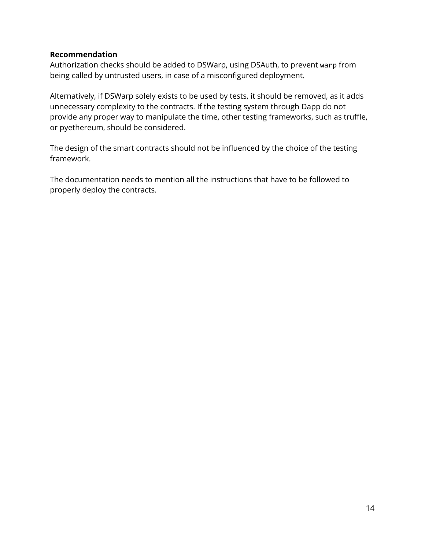#### **Recommendation**

Authorization checks should be added to DSWarp, using DSAuth, to prevent warp from being called by untrusted users, in case of a misconfigured deployment.

Alternatively, if DSWarp solely exists to be used by tests, it should be removed, as it adds unnecessary complexity to the contracts. If the testing system through Dapp do not provide any proper way to manipulate the time, other testing frameworks, such as truffle, or pyethereum, should be considered.

The design of the smart contracts should not be influenced by the choice of the testing framework.

The documentation needs to mention all the instructions that have to be followed to properly deploy the contracts.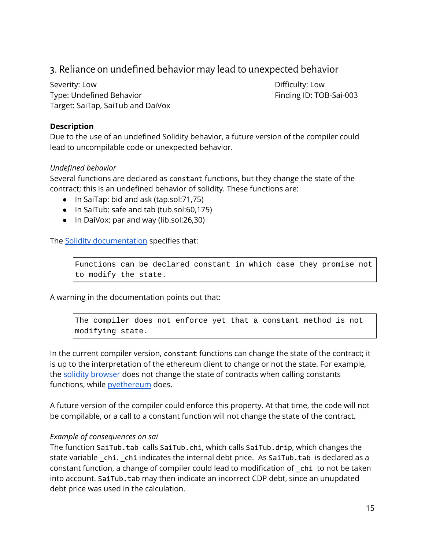## <span id="page-14-0"></span>3. Reliance on undefined behavior may lead to unexpected behavior

Severity: Low **Difficulty: Low** Type: Undefined Behavior Type: Undefined Behavior Finding ID: TOB-Sai-003 Target: SaiTap, SaiTub and DaiVox

#### **Description**

Due to the use of an undefined Solidity behavior, a future version of the compiler could lead to uncompilable code or unexpected behavior.

#### *Undefined behavior*

Several functions are declared as constant functions, but they change the state of the contract; this is an undefined behavior of solidity. These functions are:

- In SaiTap: bid and ask (tap.sol:71,75)
- In SaiTub: safe and tab (tub.sol:60,175)
- In DaiVox: par and way (lib.sol:26,30)

The Solidity [documentation](http://solidity.readthedocs.io/en/v0.4.15/contracts.html#constant-functions) specifies that:

Functions can be declared constant in which case they promise not to modify the state.

A warning in the documentation points out that:

The compiler does not enforce yet that a constant method is not modifying state.

In the current compiler version, constant functions can change the state of the contract; it is up to the interpretation of the ethereum client to change or not the state. For example, the solidity [browser](https://remix.ethereum.org/) does not change the state of contracts when calling constants functions, while **[pyethereum](https://github.com/ethereum/pyethereum/releases/tag/v1.6.1)** does.

A future version of the compiler could enforce this property. At that time, the code will not be compilable, or a call to a constant function will not change the state of the contract.

#### *Example of consequences on sai*

The function SaiTub.tab calls SaiTub.chi, which calls SaiTub.drip, which changes the state variable \_chi. \_chi indicates the internal debt price. As SaiTub.tab is declared as a constant function, a change of compiler could lead to modification of \_chi to not be taken into account. SaiTub.tab may then indicate an incorrect CDP debt, since an unupdated debt price was used in the calculation.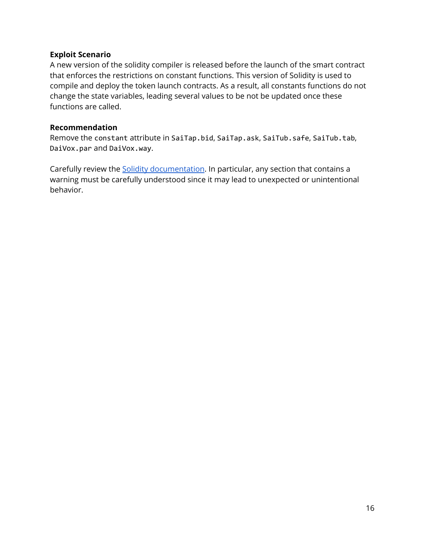#### **Exploit Scenario**

A new version of the solidity compiler is released before the launch of the smart contract that enforces the restrictions on constant functions. This version of Solidity is used to compile and deploy the token launch contracts. As a result, all constants functions do not change the state variables, leading several values to be not be updated once these functions are called.

#### **Recommendation**

Remove the constant attribute in SaiTap.bid, SaiTap.ask, SaiTub.safe, SaiTub.tab, DaiVox.par and DaiVox.way.

Carefully review the **Solidity documentation**. In particular, any section that contains a warning must be carefully understood since it may lead to unexpected or unintentional behavior.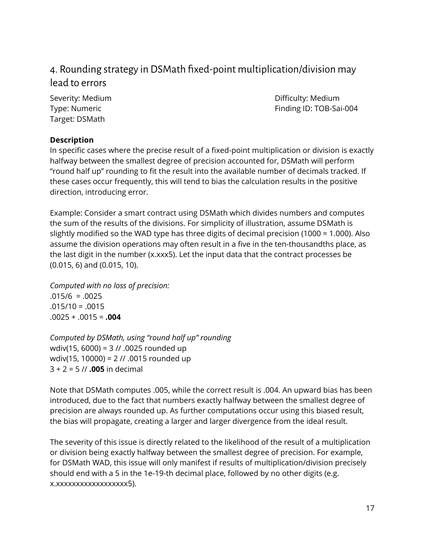## <span id="page-16-0"></span>4. Rounding strategy in DSMath fixed-point multiplication/division may lead to errors

Target: DSMath

Severity: Medium **Difficulty: Medium** Difficulty: Medium Type: Numeric **Finding ID: TOB-Sai-004** 

#### **Description**

In specific cases where the precise result of a fixed-point multiplication or division is exactly halfway between the smallest degree of precision accounted for, DSMath will perform "round half up" rounding to fit the result into the available number of decimals tracked. If these cases occur frequently, this will tend to bias the calculation results in the positive direction, introducing error.

Example: Consider a smart contract using DSMath which divides numbers and computes the sum of the results of the divisions. For simplicity of illustration, assume DSMath is slightly modified so the WAD type has three digits of decimal precision (1000 = 1.000). Also assume the division operations may often result in a five in the ten-thousandths place, as the last digit in the number (x.xxx5). Let the input data that the contract processes be (0.015, 6) and (0.015, 10).

*Computed with no loss of precision:*  $.015/6 = .0025$  $.015/10 = .0015$ .0025 + .0015 = **.004**

*Computed by DSMath, using "round half up" rounding* wdiv(15, 6000) = 3 // .0025 rounded up wdiv(15, 10000) = 2 // .0015 rounded up 3 + 2 = 5 // **.005** in decimal

Note that DSMath computes .005, while the correct result is .004. An upward bias has been introduced, due to the fact that numbers exactly halfway between the smallest degree of precision are always rounded up. As further computations occur using this biased result, the bias will propagate, creating a larger and larger divergence from the ideal result.

The severity of this issue is directly related to the likelihood of the result of a multiplication or division being exactly halfway between the smallest degree of precision. For example, for DSMath WAD, this issue will only manifest if results of multiplication/division precisely should end with a 5 in the 1e-19-th decimal place, followed by no other digits (e.g. x.xxxxxxxxxxxxxxxxxx5).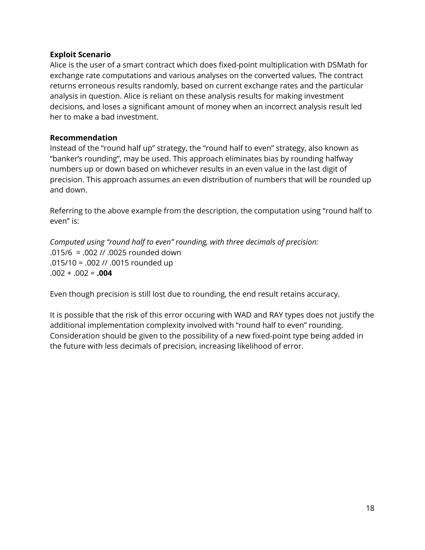#### **Exploit Scenario**

Alice is the user of a smart contract which does fixed-point multiplication with DSMath for exchange rate computations and various analyses on the converted values. The contract returns erroneous results randomly, based on current exchange rates and the particular analysis in question. Alice is reliant on these analysis results for making investment decisions, and loses a significant amount of money when an incorrect analysis result led her to make a bad investment.

#### **Recommendation**

Instead of the "round half up" strategy, the "round half to even" strategy, also known as "banker's rounding", may be used. This approach eliminates bias by rounding halfway numbers up or down based on whichever results in an even value in the last digit of precision. This approach assumes an even distribution of numbers that will be rounded up and down.

Referring to the above example from the description, the computation using "round half to even" is:

*Computed using "round half to even" rounding, with three decimals of precision:* .015/6 = .002 // .0025 rounded down .015/10 = .002 // .0015 rounded up  $.002 + .002 = .004$ 

Even though precision is still lost due to rounding, the end result retains accuracy.

It is possible that the risk of this error occuring with WAD and RAY types does not justify the additional implementation complexity involved with "round half to even" rounding. Consideration should be given to the possibility of a new fixed-point type being added in the future with less decimals of precision, increasing likelihood of error.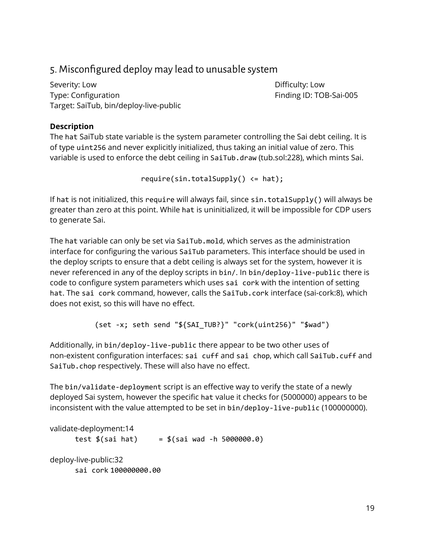## <span id="page-18-0"></span>5. Misconfigured deploy may lead to unusable system

Severity: Low **Difficulty: Low** Type: Configuration Finding ID: TOB-Sai-005 Target: SaiTub, bin/deploy-live-public

#### **Description**

The hat SaiTub state variable is the system parameter controlling the Sai debt ceiling. It is of type uint256 and never explicitly initialized, thus taking an initial value of zero. This variable is used to enforce the debt ceiling in SaiTub.draw (tub.sol:228), which mints Sai.

 $require(\sin.totalSupply() \leq hat);$ 

If hat is not initialized, this require will always fail, since sin.totalSupply() will always be greater than zero at this point. While hat is uninitialized, it will be impossible for CDP users to generate Sai.

The hat variable can only be set via SaiTub.mold, which serves as the administration interface for configuring the various SaiTub parameters. This interface should be used in the deploy scripts to ensure that a debt ceiling is always set for the system, however it is never referenced in any of the deploy scripts in bin/. In bin/deploy-live-public there is code to configure system parameters which uses sai cork with the intention of setting hat. The sai cork command, however, calls the SaiTub.cork interface (sai-cork:8), which does not exist, so this will have no effect.

```
(set -x; seth send "${SAI_TUB?}" "cork(uint256)" "$wad")
```
Additionally, in bin/deploy-live-public there appear to be two other uses of non-existent configuration interfaces: sai cuff and sai chop, which call SaiTub.cuff and SaiTub.chop respectively. These will also have no effect.

The bin/validate-deployment script is an effective way to verify the state of a newly deployed Sai system, however the specific hat value it checks for (5000000) appears to be inconsistent with the value attempted to be set in bin/deploy-live-public (100000000).

validate-deployment:14 test  $$(sai hat) = $(sai wad -h 5000000.0)$ deploy-live-public:32 sai cork 100000000.00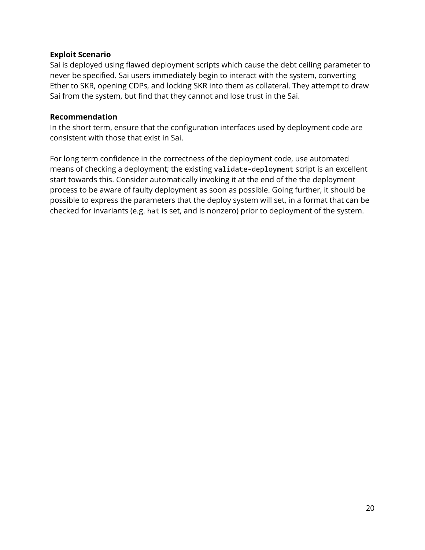#### **Exploit Scenario**

Sai is deployed using flawed deployment scripts which cause the debt ceiling parameter to never be specified. Sai users immediately begin to interact with the system, converting Ether to SKR, opening CDPs, and locking SKR into them as collateral. They attempt to draw Sai from the system, but find that they cannot and lose trust in the Sai.

#### **Recommendation**

In the short term, ensure that the configuration interfaces used by deployment code are consistent with those that exist in Sai.

For long term confidence in the correctness of the deployment code, use automated means of checking a deployment; the existing validate-deployment script is an excellent start towards this. Consider automatically invoking it at the end of the the deployment process to be aware of faulty deployment as soon as possible. Going further, it should be possible to express the parameters that the deploy system will set, in a format that can be checked for invariants (e.g. hat is set, and is nonzero) prior to deployment of the system.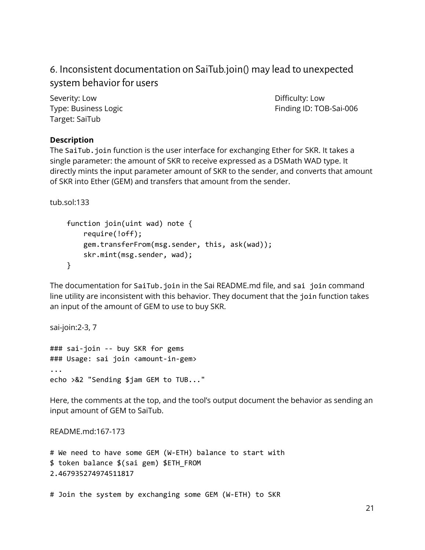## <span id="page-20-0"></span>6. Inconsistent documentation on SaiTub.join() may lead to unexpected system behavior for users

Severity: Low **Difficulty: Low** Target: SaiTub

Type: Business Logic **Finding ID: TOB-Sai-006** 

#### **Description**

The SaiTub. join function is the user interface for exchanging Ether for SKR. It takes a single parameter: the amount of SKR to receive expressed as a DSMath WAD type. It directly mints the input parameter amount of SKR to the sender, and converts that amount of SKR into Ether (GEM) and transfers that amount from the sender.

tub.sol:133

```
function join(uint wad) note {
    require(!off);
   gem.transferFrom(msg.sender, this, ask(wad));
    skr.mint(msg.sender, wad);
}
```
The documentation for SaiTub.join in the Sai README.md file, and sai join command line utility are inconsistent with this behavior. They document that the join function takes an input of the amount of GEM to use to buy SKR.

sai-join:2-3, 7

### sai-join -- buy SKR for gems ### Usage: sai join <amount-in-gem> ... echo >&2 "Sending \$jam GEM to TUB..."

Here, the comments at the top, and the tool's output document the behavior as sending an input amount of GEM to SaiTub.

README.md:167-173

```
# We need to have some GEM (W-ETH) balance to start with
$ token balance $(sai gem) $ETH_FROM
2.467935274974511817
```
# Join the system by exchanging some GEM (W-ETH) to SKR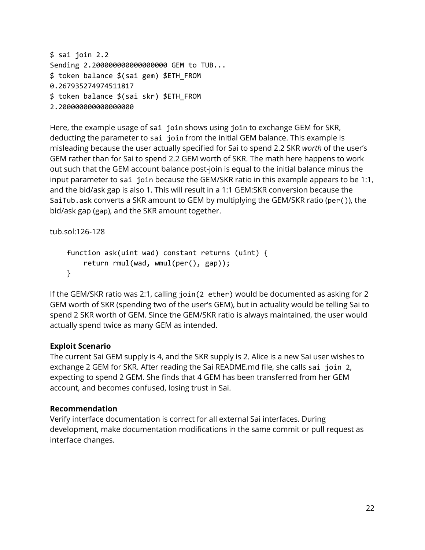```
$ sai join 2.2
Sending 2.200000000000000000 GEM to TUB...
$ token balance $(sai gem) $ETH_FROM
0.267935274974511817
$ token balance $(sai skr) $ETH_FROM
2.200000000000000000
```
Here, the example usage of sai join shows using join to exchange GEM for SKR, deducting the parameter to sai join from the initial GEM balance. This example is misleading because the user actually specified for Sai to spend 2.2 SKR *worth* of the user's GEM rather than for Sai to spend 2.2 GEM worth of SKR. The math here happens to work out such that the GEM account balance post-join is equal to the initial balance minus the input parameter to sai join because the GEM/SKR ratio in this example appears to be 1:1, and the bid/ask gap is also 1. This will result in a 1:1 GEM:SKR conversion because the SaiTub.ask converts a SKR amount to GEM by multiplying the GEM/SKR ratio (per()), the bid/ask gap (gap), and the SKR amount together.

tub.sol:126-128

```
function ask(uint wad) constant returns (uint) {
    return rmul(wad, wmul(per(), gap));
}
```
If the GEM/SKR ratio was 2:1, calling join(2 ether) would be documented as asking for 2 GEM worth of SKR (spending two of the user's GEM), but in actuality would be telling Sai to spend 2 SKR worth of GEM. Since the GEM/SKR ratio is always maintained, the user would actually spend twice as many GEM as intended.

#### **Exploit Scenario**

The current Sai GEM supply is 4, and the SKR supply is 2. Alice is a new Sai user wishes to exchange 2 GEM for SKR. After reading the Sai README.md file, she calls sai join 2, expecting to spend 2 GEM. She finds that 4 GEM has been transferred from her GEM account, and becomes confused, losing trust in Sai.

#### **Recommendation**

Verify interface documentation is correct for all external Sai interfaces. During development, make documentation modifications in the same commit or pull request as interface changes.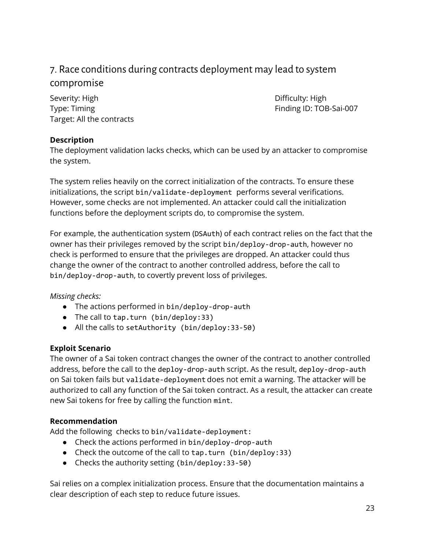## <span id="page-22-0"></span>7. Race conditions during contracts deployment may lead to system compromise

Severity: High Difficulty: High Difficulty: High Type: Timing Type: Timing Type: Timing ID: TOB-Sai-007 Target: All the contracts

#### **Description**

The deployment validation lacks checks, which can be used by an attacker to compromise the system.

The system relies heavily on the correct initialization of the contracts. To ensure these initializations, the script bin/validate-deployment performs several verifications. However, some checks are not implemented. An attacker could call the initialization functions before the deployment scripts do, to compromise the system.

For example, the authentication system (DSAuth) of each contract relies on the fact that the owner has their privileges removed by the script bin/deploy-drop-auth, however no check is performed to ensure that the privileges are dropped. An attacker could thus change the owner of the contract to another controlled address, before the call to bin/deploy-drop-auth, to covertly prevent loss of privileges.

#### *Missing checks:*

- The actions performed in bin/deploy-drop-auth
- The call to tap.turn (bin/deploy:33)
- All the calls to setAuthority (bin/deploy:33-50)

#### **Exploit Scenario**

The owner of a Sai token contract changes the owner of the contract to another controlled address, before the call to the deploy-drop-auth script. As the result, deploy-drop-auth on Sai token fails but validate-deployment does not emit a warning. The attacker will be authorized to call any function of the Sai token contract. As a result, the attacker can create new Sai tokens for free by calling the function mint.

#### **Recommendation**

Add the following checks to bin/validate-deployment:

- Check the actions performed in bin/deploy-drop-auth
- Check the outcome of the call to tap.turn (bin/deploy:33)
- Checks the authority setting (bin/deploy:33-50)

Sai relies on a complex initialization process. Ensure that the documentation maintains a clear description of each step to reduce future issues.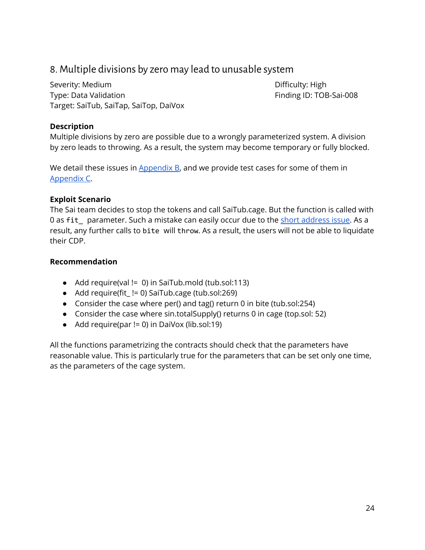## <span id="page-23-0"></span>8. Multiple divisions by zero may lead to unusable system

Severity: Medium **Difficulty: High** Type: Data Validation **Finding ID: TOB-Sai-008** Target: SaiTub, SaiTap, SaiTop, DaiVox

#### **Description**

Multiple divisions by zero are possible due to a wrongly parameterized system. A division by zero leads to throwing. As a result, the system may become temporary or fully blocked.

We detail these issues in  $\Delta$ ppendix  $B$ , and we provide test cases for some of them in [Appendix](#page-38-0) C.

#### **Exploit Scenario**

The Sai team decides to stop the tokens and call SaiTub.cage. But the function is called with 0 as fit parameter. Such a mistake can easily occur due to the short [address](https://blog.golemproject.net/how-to-find-10m-by-just-reading-blockchain-6ae9d39fcd95) issue. As a result, any further calls to bite will throw. As a result, the users will not be able to liquidate their CDP.

#### **Recommendation**

- Add require(val != 0) in SaiTub.mold (tub.sol:113)
- Add require(fit\_!= 0) SaiTub.cage (tub.sol:269)
- Consider the case where per() and tag() return 0 in bite (tub.sol:254)
- Consider the case where sin.totalSupply() returns 0 in cage (top.sol: 52)
- Add require(par != 0) in DaiVox (lib.sol:19)

All the functions parametrizing the contracts should check that the parameters have reasonable value. This is particularly true for the parameters that can be set only one time, as the parameters of the cage system.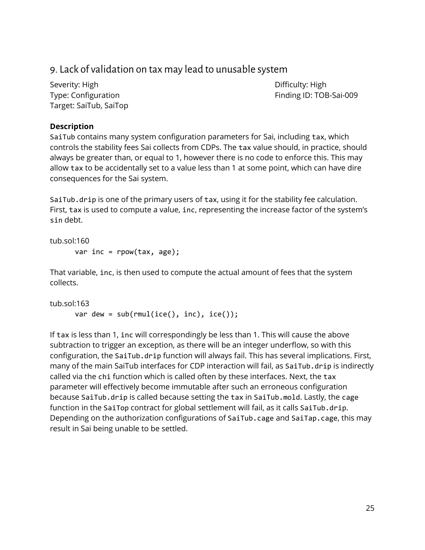## <span id="page-24-0"></span>9. Lack of validation on tax may lead to unusable system

Severity: High **Difficulty: High** Difficulty: High Target: SaiTub, SaiTop

Type: Configuration Finding ID: TOB-Sai-009

#### **Description**

SaiTub contains many system configuration parameters for Sai, including tax, which controls the stability fees Sai collects from CDPs. The tax value should, in practice, should always be greater than, or equal to 1, however there is no code to enforce this. This may allow tax to be accidentally set to a value less than 1 at some point, which can have dire consequences for the Sai system.

SaiTub.drip is one of the primary users of tax, using it for the stability fee calculation. First, tax is used to compute a value, inc, representing the increase factor of the system's sin debt.

```
tub.sol:160
      var inc = rpow(tax, age);
```
That variable, inc, is then used to compute the actual amount of fees that the system collects.

```
tub.sol:163
      var dew = sub(rmul(ice(), inc), ice());
```
If tax is less than 1, inc will correspondingly be less than 1. This will cause the above subtraction to trigger an exception, as there will be an integer underflow, so with this configuration, the SaiTub.drip function will always fail. This has several implications. First, many of the main SaiTub interfaces for CDP interaction will fail, as SaiTub.drip is indirectly called via the chi function which is called often by these interfaces. Next, the tax parameter will effectively become immutable after such an erroneous configuration because SaiTub.drip is called because setting the tax in SaiTub.mold. Lastly, the cage function in the SaiTop contract for global settlement will fail, as it calls SaiTub.drip. Depending on the authorization configurations of SaiTub.cage and SaiTap.cage, this may result in Sai being unable to be settled.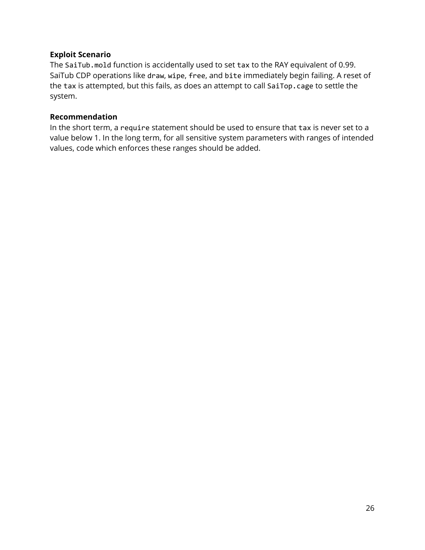#### **Exploit Scenario**

The SaiTub.mold function is accidentally used to set tax to the RAY equivalent of 0.99. SaiTub CDP operations like draw, wipe, free, and bite immediately begin failing. A reset of the tax is attempted, but this fails, as does an attempt to call SaiTop.cage to settle the system.

#### **Recommendation**

In the short term, a require statement should be used to ensure that tax is never set to a value below 1. In the long term, for all sensitive system parameters with ranges of intended values, code which enforces these ranges should be added.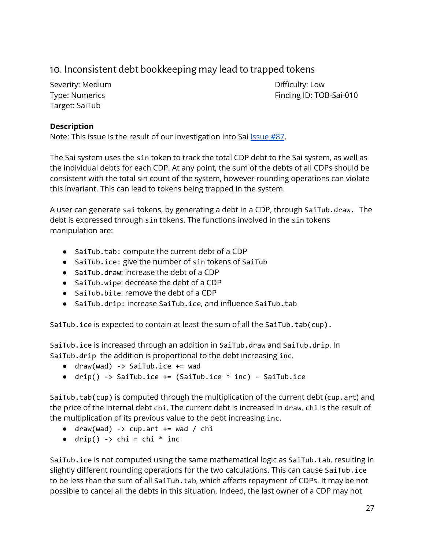## <span id="page-26-0"></span>10. Inconsistent debt bookkeeping may lead to trapped tokens

Severity: Medium **Difficulty: Low** Target: SaiTub

Type: Numerics **Finding ID: TOB-Sai-010** 

#### **Description**

Note: This issue is the result of our investigation into Sai *[Issue](https://github.com/makerdao/sai/issues/87) #87*.

The Sai system uses the sin token to track the total CDP debt to the Sai system, as well as the individual debts for each CDP. At any point, the sum of the debts of all CDPs should be consistent with the total sin count of the system, however rounding operations can violate this invariant. This can lead to tokens being trapped in the system.

A user can generate sai tokens, by generating a debt in a CDP, through SaiTub.draw. The debt is expressed through sin tokens. The functions involved in the sin tokens manipulation are:

- SaiTub.tab: compute the current debt of a CDP
- SaiTub.ice: give the number of sin tokens of SaiTub
- SaiTub.draw: increase the debt of a CDP
- SaiTub.wipe: decrease the debt of a CDP
- SaiTub.bite: remove the debt of a CDP
- SaiTub.drip: increase SaiTub.ice, and influence SaiTub.tab

SaiTub.ice is expected to contain at least the sum of all the SaiTub.tab(cup).

SaiTub.ice is increased through an addition in SaiTub.draw and SaiTub.drip. In SaiTub.drip the addition is proportional to the debt increasing inc.

- $\bullet$  draw(wad) -> SaiTub.ice += wad
- $drip() \rightarrow SaiTub.ice += (SaiTub.ice * inc) SaiTub.ice$

SaiTub.tab(cup) is computed through the multiplication of the current debt (cup.art) and the price of the internal debt chi. The current debt is increased in draw. chi is the result of the multiplication of its previous value to the debt increasing inc.

- $\bullet$  draw(wad) -> cup.art += wad / chi
- $\bullet$  drip() -> chi = chi \* inc

SaiTub.ice is not computed using the same mathematical logic as SaiTub.tab, resulting in slightly different rounding operations for the two calculations. This can cause SaiTub.ice to be less than the sum of all SaiTub.tab, which affects repayment of CDPs. It may be not possible to cancel all the debts in this situation. Indeed, the last owner of a CDP may not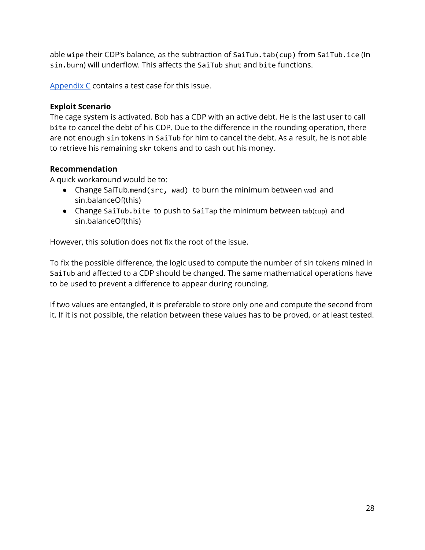able wipe their CDP's balance, as the subtraction of SaiTub.tab(cup) from SaiTub.ice (In sin.burn) will underflow. This affects the SaiTub shut and bite functions.

[Appendix](#page-38-0) C contains a test case for this issue.

#### **Exploit Scenario**

The cage system is activated. Bob has a CDP with an active debt. He is the last user to call bite to cancel the debt of his CDP. Due to the difference in the rounding operation, there are not enough sin tokens in SaiTub for him to cancel the debt. As a result, he is not able to retrieve his remaining skr tokens and to cash out his money.

#### **Recommendation**

A quick workaround would be to:

- Change SaiTub.mend(src, wad) to burn the minimum between wad and sin.balanceOf(this)
- Change SaiTub.bite to push to SaiTap the minimum between tab(cup) and sin.balanceOf(this)

However, this solution does not fix the root of the issue.

To fix the possible difference, the logic used to compute the number of sin tokens mined in SaiTub and affected to a CDP should be changed. The same mathematical operations have to be used to prevent a difference to appear during rounding.

If two values are entangled, it is preferable to store only one and compute the second from it. If it is not possible, the relation between these values has to be proved, or at least tested.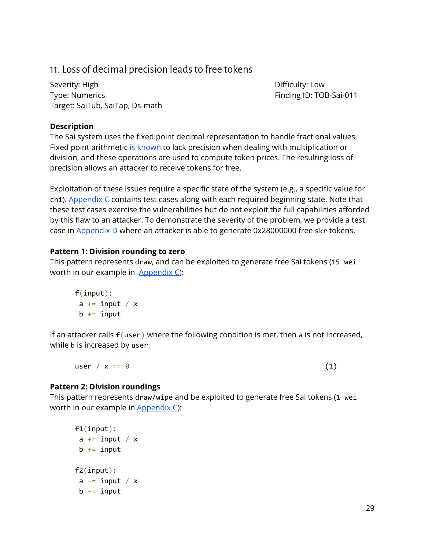## <span id="page-28-0"></span>11. Loss of decimal precision leads to free tokens

Severity: High Difficulty: Low Type: Numerics **Finding ID: TOB-Sai-011** Target: SaiTub, SaiTap, Ds-math

#### **Description**

The Sai system uses the fixed point decimal representation to handle fractional values. Fixed point arithmetic is [known](https://accu.org/index.php/journals/1717) to lack precision when dealing with multiplication or division, and these operations are used to compute token prices. The resulting loss of precision allows an attacker to receive tokens for free.

Exploitation of these issues require a specific state of the system (e.g., a specific value for chi). [Appendix](#page-38-0) C contains test cases along with each required beginning state. Note that these test cases exercise the vulnerabilities but do not exploit the full capabilities afforded by this flaw to an attacker. To demonstrate the severity of the problem, we provide a test case in [Appendix](#page-46-0) D where an attacker is able to generate 0x28000000 free skr tokens.

#### **Pattern 1: Division rounding to zero**

This pattern represents draw, and can be exploited to generate free Sai tokens (15 wei worth in our example in [Appendix](#page-38-0) C):

```
f(input):
 a += input / \timesb \leftarrow \text{input}
```
If an attacker calls  $f$  (user) where the following condition is met, then a is not increased, while b is increased by user.

user /  $x == 0$  (1)

#### **Pattern 2: Division roundings**

This pattern represents draw/wipe and be exploited to generate free Sai tokens (1 wei worth in our example in [Appendix](#page-38-0) C):

```
f1(input):
 a \leftarrow input / xb += input
f2(input):
 a = input / xb -= input
```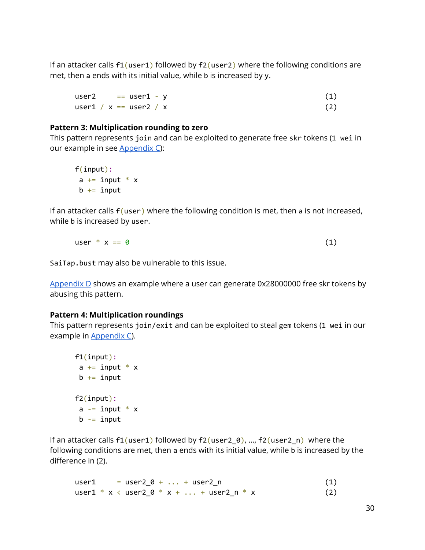If an attacker calls  $f1(user1)$  followed by  $f2(user2)$  where the following conditions are met, then a ends with its initial value, while b is increased by y.

```
user2 = user1 - y (1)
user1 / x == user2 / x (2)
```
#### **Pattern 3: Multiplication rounding to zero**

This pattern represents join and can be exploited to generate free skr tokens (1 wei in our example in see [Appendix](#page-38-0) C):

f(input):  $a += input * x$  $b \leftarrow \text{input}$ 

If an attacker calls  $f$  (user) where the following condition is met, then a is not increased, while b is increased by user.

$$
user * x == 0 \tag{1}
$$

SaiTap.bust may also be vulnerable to this issue.

[Appendix](#page-46-0) D shows an example where a user can generate 0x28000000 free skr tokens by abusing this pattern.

#### **Pattern 4: Multiplication roundings**

This pattern represents join/exit and can be exploited to steal gem tokens (1 wei in our example in **[Appendix](#page-38-0) C**).

```
f1(input):
 a += input * x
 b \leftarrow \text{input}f2(input):
 a - input * x
 b -= input
```
If an attacker calls  $f1(user1)$  followed by  $f2(user2_0), ..., f2(user2_n)$  where the following conditions are met, then a ends with its initial value, while b is increased by the difference in (2).

 $user1 = user2_0 + ... + user2_n$  (1) user1 \* x < user2\_0 \* x + ... + user2\_n \* x (2)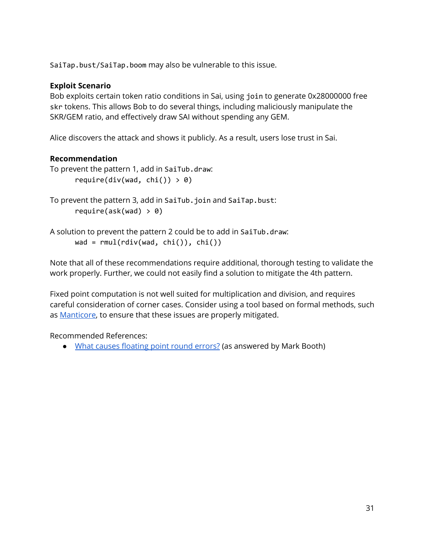SaiTap.bust/SaiTap.boom may also be vulnerable to this issue.

#### **Exploit Scenario**

Bob exploits certain token ratio conditions in Sai, using join to generate 0x28000000 free skr tokens. This allows Bob to do several things, including maliciously manipulate the SKR/GEM ratio, and effectively draw SAI without spending any GEM.

Alice discovers the attack and shows it publicly. As a result, users lose trust in Sai.

#### **Recommendation**

```
To prevent the pattern 1, add in SaiTub.draw:
      require(div(wad, chi() > 0)
```

```
To prevent the pattern 3, add in SaiTub.join and SaiTap.bust:
      require(ask(wad) > 0)
```
A solution to prevent the pattern 2 could be to add in SaiTub.draw:  $\text{wad} = \text{rmul}(\text{rdiv}(\text{wad}, \text{chi}())$ ,  $\text{chi}())$ 

Note that all of these recommendations require additional, thorough testing to validate the work properly. Further, we could not easily find a solution to mitigate the 4th pattern.

Fixed point computation is not well suited for multiplication and division, and requires careful consideration of corner cases. Consider using a tool based on formal methods, such as [Manticore](https://github.com/trailofbits/manticore), to ensure that these issues are properly mitigated.

Recommended References:

• What causes [floating](https://softwareengineering.stackexchange.com/questions/101163/what-causes-floating-point-rounding-errors/101197#101197) point round errors? (as answered by Mark Booth)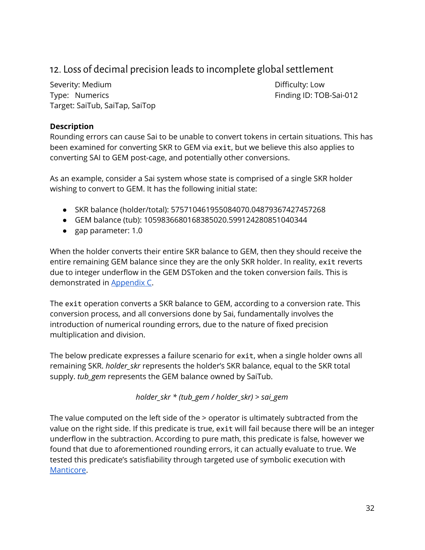## <span id="page-31-0"></span>12. Loss of decimal precision leads to incomplete global settlement

Severity: Medium **Difficulty: Low** Type: Numerics **Finding ID: TOB-Sai-012** Target: SaiTub, SaiTap, SaiTop

#### **Description**

Rounding errors can cause Sai to be unable to convert tokens in certain situations. This has been examined for converting SKR to GEM via exit, but we believe this also applies to converting SAI to GEM post-cage, and potentially other conversions.

As an example, consider a Sai system whose state is comprised of a single SKR holder wishing to convert to GEM. It has the following initial state:

- SKR balance (holder/total): 575710461955084070.04879367427457268
- GEM balance (tub): 1059836680168385020.599124280851040344
- gap parameter: 1.0

When the holder converts their entire SKR balance to GEM, then they should receive the entire remaining GEM balance since they are the only SKR holder. In reality, exit reverts due to integer underflow in the GEM DSToken and the token conversion fails. This is demonstrated in [Appendix](#page-38-0) C.

The exit operation converts a SKR balance to GEM, according to a conversion rate. This conversion process, and all conversions done by Sai, fundamentally involves the introduction of numerical rounding errors, due to the nature of fixed precision multiplication and division.

The below predicate expresses a failure scenario for exit, when a single holder owns all remaining SKR. *holder\_skr* represents the holder's SKR balance, equal to the SKR total supply. *tub\_gem* represents the GEM balance owned by SaiTub.

*holder\_skr \* (tub\_gem / holder\_skr) > sai\_gem*

The value computed on the left side of the > operator is ultimately subtracted from the value on the right side. If this predicate is true, exit will fail because there will be an integer underflow in the subtraction. According to pure math, this predicate is false, however we found that due to aforementioned rounding errors, it can actually evaluate to true. We tested this predicate's satisfiability through targeted use of symbolic execution with [Manticore.](https://github.com/trailofbits/manticore)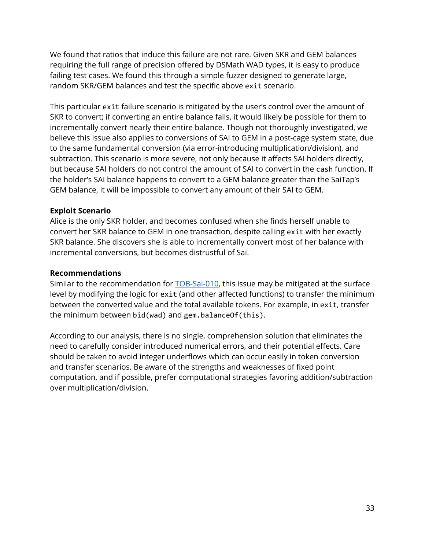We found that ratios that induce this failure are not rare. Given SKR and GEM balances requiring the full range of precision offered by DSMath WAD types, it is easy to produce failing test cases. We found this through a simple fuzzer designed to generate large, random SKR/GEM balances and test the specific above exit scenario.

This particular exit failure scenario is mitigated by the user's control over the amount of SKR to convert; if converting an entire balance fails, it would likely be possible for them to incrementally convert nearly their entire balance. Though not thoroughly investigated, we believe this issue also applies to conversions of SAI to GEM in a post-cage system state, due to the same fundamental conversion (via error-introducing multiplication/division), and subtraction. This scenario is more severe, not only because it affects SAI holders directly, but because SAI holders do not control the amount of SAI to convert in the cash function. If the holder's SAI balance happens to convert to a GEM balance greater than the SaiTap's GEM balance, it will be impossible to convert any amount of their SAI to GEM.

#### **Exploit Scenario**

Alice is the only SKR holder, and becomes confused when she finds herself unable to convert her SKR balance to GEM in one transaction, despite calling exit with her exactly SKR balance. She discovers she is able to incrementally convert most of her balance with incremental conversions, but becomes distrustful of Sai.

#### **Recommendations**

Similar to the recommendation for [TOB-Sai-010](#page-26-0), this issue may be mitigated at the surface level by modifying the logic for exit (and other affected functions) to transfer the minimum between the converted value and the total available tokens. For example, in exit, transfer the minimum between bid(wad) and gem.balanceOf(this).

According to our analysis, there is no single, comprehension solution that eliminates the need to carefully consider introduced numerical errors, and their potential effects. Care should be taken to avoid integer underflows which can occur easily in token conversion and transfer scenarios. Be aware of the strengths and weaknesses of fixed point computation, and if possible, prefer computational strategies favoring addition/subtraction over multiplication/division.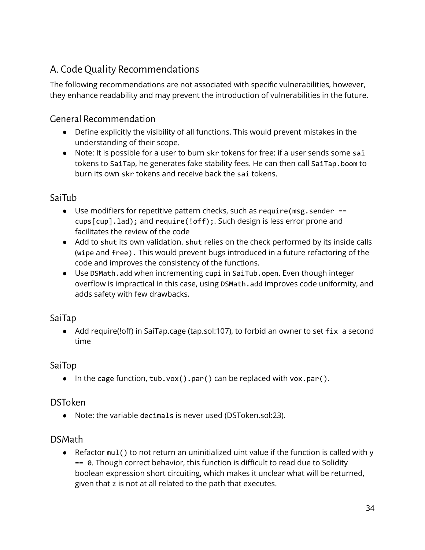## <span id="page-33-0"></span>A. Code Quality Recommendations

The following recommendations are not associated with specific vulnerabilities, however, they enhance readability and may prevent the introduction of vulnerabilities in the future.

## <span id="page-33-1"></span>General Recommendation

- Define explicitly the visibility of all functions. This would prevent mistakes in the understanding of their scope.
- Note: It is possible for a user to burn skr tokens for free: if a user sends some sai tokens to SaiTap, he generates fake stability fees. He can then call SaiTap.boom to burn its own skr tokens and receive back the sai tokens.

## <span id="page-33-2"></span>SaiTub

- Use modifiers for repetitive pattern checks, such as require( $msg$ , sender == cups[cup].lad); and require(!off);. Such design is less error prone and facilitates the review of the code
- Add to shut its own validation. shut relies on the check performed by its inside calls (wipe and free). This would prevent bugs introduced in a future refactoring of the code and improves the consistency of the functions.
- Use DSMath.add when incrementing cupi in SaiTub.open. Even though integer overflow is impractical in this case, using DSMath.add improves code uniformity, and adds safety with few drawbacks.

## <span id="page-33-3"></span>SaiTap

● Add require(!off) in SaiTap.cage (tap.sol:107), to forbid an owner to set fix a second time

## <span id="page-33-4"></span>SaiTop

• In the cage function,  $\text{tub.vox}()$ .par() can be replaced with vox.par().

## <span id="page-33-5"></span>DSToken

● Note: the variable decimals is never used (DSToken.sol:23).

### <span id="page-33-6"></span>DSMath

**●** Refactor mul() to not return an uninitialized uint value if the function is called with y == 0. Though correct behavior, this function is difficult to read due to Solidity boolean expression short circuiting, which makes it unclear what will be returned, given that z is not at all related to the path that executes.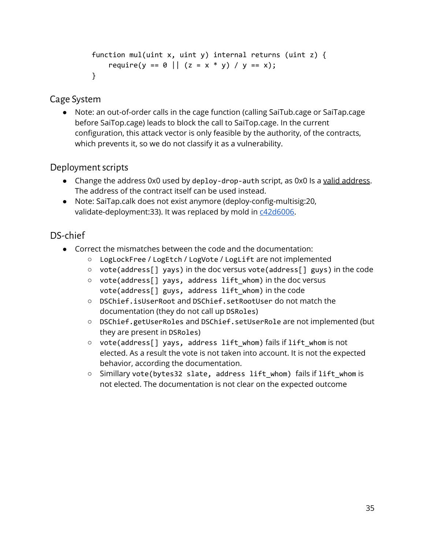```
function mul(uint x, uint y) internal returns (uint z) {
   require(y == 0 || (z = x * y) / y == x);}
```
## <span id="page-34-0"></span>Cage System

● Note: an out-of-order calls in the cage function (calling SaiTub.cage or SaiTap.cage before SaiTop.cage) leads to block the call to SaiTop.cage. In the current configuration, this attack vector is only feasible by the authority, of the contracts, which prevents it, so we do not classify it as a vulnerability.

### <span id="page-34-1"></span>Deployment scripts

- Change the address 0x0 used by deploy-drop-auth script, as 0x0 Is a valid [address](https://etherscan.io/address/0000000000000000000000000000000000000000). The address of the contract itself can be used instead.
- Note: SaiTap.calk does not exist anymore (deploy-config-multisig:20, validate-deployment:33). It was replaced by mold in [c42d6006](https://github.com/makerdao/sai/tree/c42d6006ea6d6ea1ff6f6a525f5fc9816169a2ec).

## <span id="page-34-2"></span>DS-chief

- Correct the mismatches between the code and the documentation:
	- LogLockFree / LogEtch / LogVote / LogLift are not implemented
	- vote(address[] yays) in the doc versus vote(address[] guys) in the code
	- vote(address[] yays, address lift whom) in the doc versus vote(address[] guys, address lift\_whom) in the code
	- DSChief.isUserRoot and DSChief.setRootUser do not match the documentation (they do not call up DSRoles)
	- DSChief.getUserRoles and DSChief.setUserRole are not implemented (but they are present in DSRoles)
	- vote(address[] yays, address lift\_whom) fails if lift\_whom is not elected. As a result the vote is not taken into account. It is not the expected behavior, according the documentation.
	- Simillary vote(bytes32 slate, address lift\_whom) fails if lift\_whom is not elected. The documentation is not clear on the expected outcome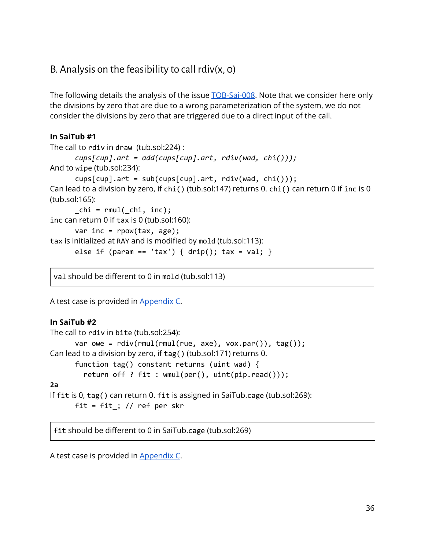## <span id="page-35-0"></span>B. Analysis on the feasibility to call  $rdiv(x, o)$

The following details the analysis of the issue **TOB-Sai-008**. Note that we consider here only the divisions by zero that are due to a wrong parameterization of the system, we do not consider the divisions by zero that are triggered due to a direct input of the call.

#### **In SaiTub #1**

```
The call to rdiv in draw (tub.sol:224) :
      cups[cup].art = add(cups[cup].art, rdiv(wad, chi()));
And to wipe (tub.sol:234):
      cups[cup] .art = sub(cups[cup].art, rdiv(wad, chi());
Can lead to a division by zero, if chi() (tub.sol:147) returns 0. chi() can return 0 if inc is 0
(tub.sol:165):
      chi = rmul( chi, inc);
inc can return 0 if tax is 0 (tub.sol:160):
      var inc = rpow(tax, age);
tax is initialized at RAY and is modified by mold (tub.sol:113):
      else if (param == 'tax') { drip(); tax = val; }
```
val should be different to 0 in mold (tub.sol:113)

A test case is provided in [Appendix](#page-38-0) C.

#### **In SaiTub #2**

```
The call to rdiv in bite (tub.sol:254):
      var owe = rdiv(rmul(rmul(rue, axe), vox.par()), tag());
Can lead to a division by zero, if tag() (tub.sol:171) returns 0.
      function tag() constant returns (uint wad) {
         return off ? fit : wmul(per(), uint(pip.read()));
2a
If fit is 0, tag() can return 0. fit is assigned in SaiTub.cage (tub.sol:269):
      fit = fit \cdot // ref per skr
```
fit should be different to 0 in SaiTub.cage (tub.sol:269)

A test case is provided in [Appendix](#page-38-0) C.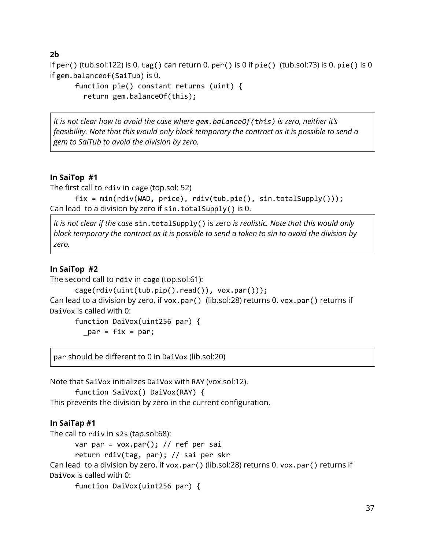#### **2b**

If per() (tub.sol:122) is 0, tag() can return 0. per() is 0 if pie() (tub.sol:73) is 0. pie() is 0 if gem.balanceof(SaiTub) is 0.

```
function pie() constant returns (uint) {
  return gem.balanceOf(this);
```
*It is not clear how to avoid the case where gem.balanceOf(this) is zero, neither it's feasibility. Note that this would only block temporary the contract as it is possible to send a gem to SaiTub to avoid the division by zero.*

#### **In SaiTop #1**

The first call to rdiv in cage (top.sol: 52)

```
fix = min(rdiv(WAD, price), rdiv(tub.pie(), sin.totalSupply()));
Can lead to a division by zero if sin.totalSupply() is 0.
```
*It is not clear if the case* sin.totalSupply() is zero *is realistic. Note that this would only* block temporary the contract as it is possible to send a token to sin to avoid the division by *zero.*

#### **In SaiTop #2**

```
The second call to rdiv in cage (top.sol:61):
```

```
cage(rdiv(uint(tub.pip().read()), vox.par()));
Can lead to a division by zero, if vox.par() (lib.sol:28) returns 0. vox.par() returns if
DaiVox is called with 0:
```

```
function DaiVox(uint256 par) {
  par = fix = par;
```
par should be different to 0 in DaiVox (lib.sol:20)

Note that SaiVox initializes DaiVox with RAY (vox.sol:12). function SaiVox() DaiVox(RAY) { This prevents the division by zero in the current configuration.

#### **In SaiTap #1**

The call to rdiv in s2s (tap.sol:68):

var par = vox.par $()$ ; // ref per sai

```
return rdiv(tag, par); // sai per skr
```
Can lead to a division by zero, if vox.par() (lib.sol:28) returns 0. vox.par() returns if DaiVox is called with 0:

```
function DaiVox(uint256 par) {
```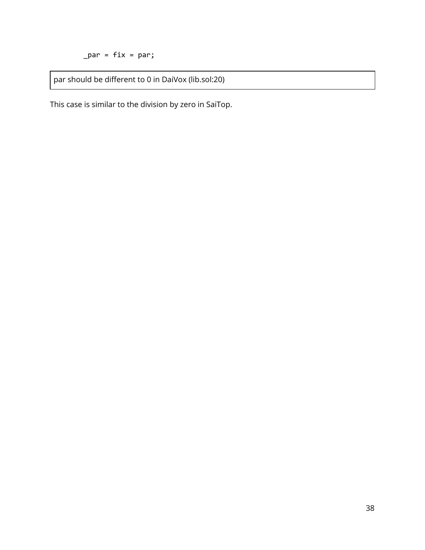$\_par = fix = par;$ 

par should be different to 0 in DaiVox (lib.sol:20)

This case is similar to the division by zero in SaiTop.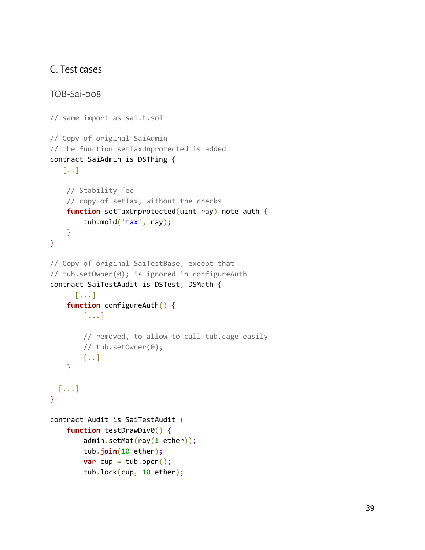### <span id="page-38-0"></span>C. Test cases

```
TOB-Sai-008
// same import as sai.t.sol
// Copy of original SaiAdmin
// the function setTaxUnprotected is added
contract SaiAdmin is DSThing {
   [..]
    // Stability fee
    // copy of setTax, without the checks
    function setTaxUnprotected(uint ray) note auth {
        tub.mold('tax', ray);
    }
}
// Copy of original SaiTestBase, except that
// tub.setOwner(0); is ignored in configureAuth
contract SaiTestAudit is DSTest, DSMath {
      [...]
    function configureAuth() {
        [...]
        // removed, to allow to call tub.cage easily
        // tub.setOwner(0);
        [..]
    }
 [...]
}
contract Audit is SaiTestAudit {
    function testDrawDiv0() {
        admin.setMat(ray(1 ether));
        tub.join(10 ether);
        var cup = \text{tub.open}();
        tub.lock(cup, 10 ether);
```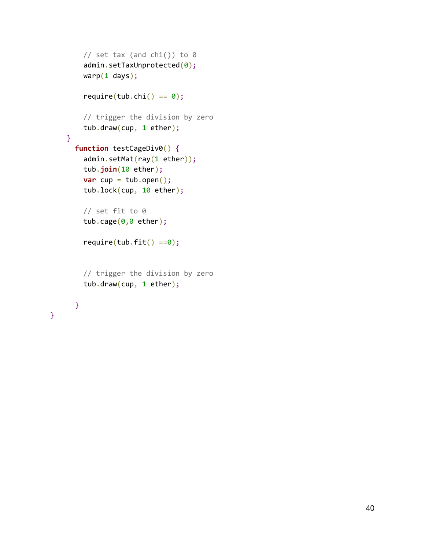```
// set tax (and chi()) to 0
    admin.setTaxUnprotected(0);
   warp(1 days);require(tub.chi() == 0);// trigger the division by zero
   tub.draw(cup, 1 ether);
}
 function testCageDiv0() {
    admin.setMat(ray(1 ether));
   tub.join(10 ether);
    var cup = \text{tub.open}();
   tub.lock(cup, 10 ether);
   // set fit to 0
   tub.cage(0,0 ether);
    require(tub.fit() == 0);// trigger the division by zero
   tub.draw(cup, 1 ether);
  }
```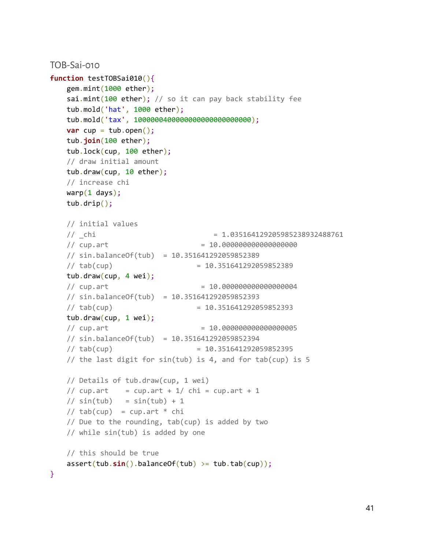```
TOB-Sai-010
function testTOBSai010(){
   gem.mint(1000 ether);
   sai.mint(100 ether); // so it can pay back stability fee
   tub.mold('hat', 1000 ether);
   tub.mold('tax', 1000000400000000000000000000);
   var cup = tub.open();
   tub.join(100 ether);
   tub.lock(cup, 100 ether);
   // draw initial amount
   tub.draw(cup, 10 ether);
   // increase chi
   warp(1 days);tub.drip();
   // initial values
   // _chi = 1.035164129205985238932488761
   // cup.art = 10.000000000000000000
   // sin.balanceOf(tub) = 10.351641292059852389
   // tab(cup) = 10.351641292059852389
   tub.draw(cup, 4 wei);
   // cupart = 10.000000000000004// sin.balanceOf(tub) = 10.351641292059852393
   // tab(cup) = 10.351641292059852393
   tub.draw(cup, 1 wei);
   // cup.art = 10.000000000000000005
   // sin.balanceOf(tub) = 10.351641292059852394
   1/ tab(cup) = 10.351641292059852395// the last digit for sin(tub) is 4, and for tab(cup) is 5
   // Details of tub.draw(cup, 1 wei)
   // cupart = cupar + 1/ chi = cupar + 1
   // sin(tub) = sin(tub) + 1// tab(cup) = cup.array * chi// Due to the rounding, tab(cup) is added by two
   // while sin(tub) is added by one
   // this should be true
   assert(tub.sin().balanceOf(tub) >= tub.tab(cup));
}
```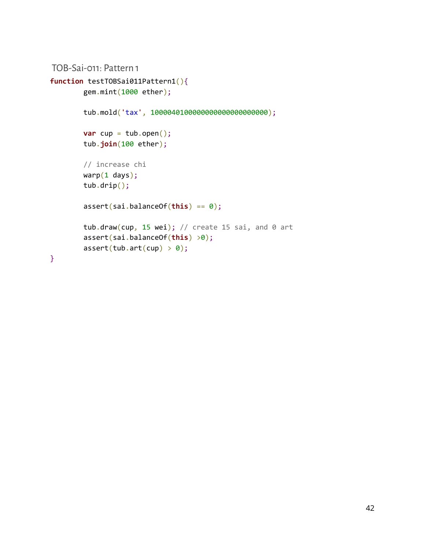```
TOB-Sai-011: Pattern 1
```

```
function testTOBSai011Pattern1(){
        gem.mint(1000 ether);
        tub.mold('tax', 1000040100000000000000000000);
        var cup = tub.open();
        tub.join(100 ether);
        // increase chi
        warp(1 days);tub.drip();
        assert(sai.balanceOf(this) == 0);
        tub.draw(cup, 15 wei); // create 15 sai, and 0 art
        assert(sai.balanceOf(this) >0);
        assert(tub.int(cup) > 0);}
```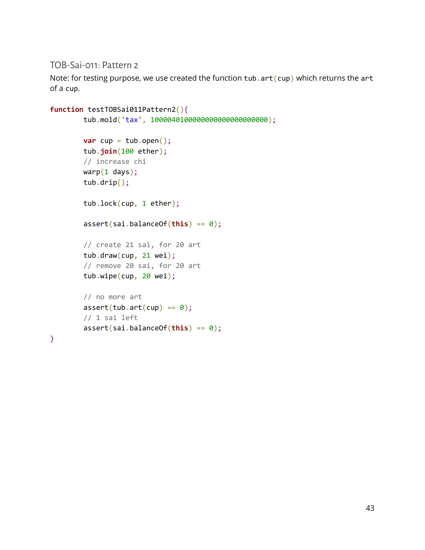<span id="page-42-0"></span>TOB-Sai-011: Pattern 2

Note: for testing purpose, we use created the function tub. art (cup) which returns the art of a cup.

```
function testTOBSai011Pattern2(){
       tub.mold('tax', 1000040100000000000000000000);
       var cup = tub.open();
       tub.join(100 ether);
       // increase chi
       warp(1 days);
       tub.drip();
       tub.lock(cup, 1 ether);
        assert(sai.balanceOf(this) == 0);
        // create 21 sai, for 20 art
       tub.draw(cup, 21 wei);
        // remove 20 sai, for 20 art
       tub.wipe(cup, 20 wei);
        // no more art
        assert(tubarct(cup) == 0);// 1 sai left
        assert(sai.balanceOf(this) == 0);
}
```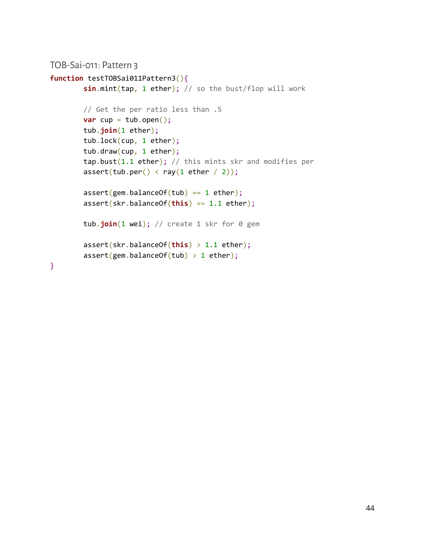```
TOB-Sai-011: Pattern 3
```

```
function testTOBSai011Pattern3(){
        sin.mint(tap, 1 ether); // so the bust/flop will work
       // Get the per ratio less than .5
       var cup = \text{tub.open}();
       tub.join(1 ether);
       tub.lock(cup, 1 ether);
       tub.draw(cup, 1 ether);
        tap.bust(1.1 ether); // this mints skr and modifies per
        assert(tub.per() < ray(1 ether / 2));assert(gem.balanceOf(tub) == 1 eth);
        assert(skr.balanceOf(this) == 1.1 ether);
        tub.join(1 wei); // create 1 skr for 0 gem
        assert(skr.balanceOf(this) > 1.1 ether);
        assert(gem.balanceOf(tub) > 1 ethen);}
```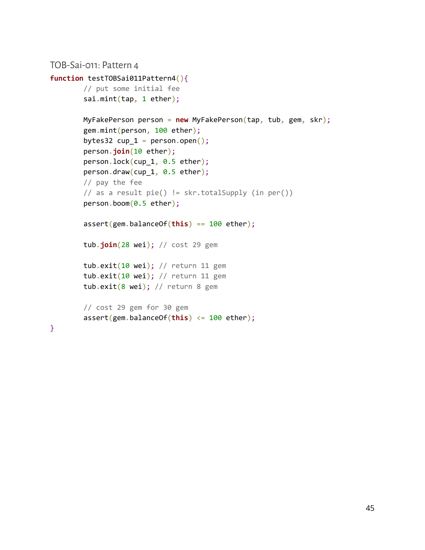```
TOB-Sai-011: Pattern 4
function testTOBSai011Pattern4(){
       // put some initial fee
        sai.mint(tap, 1 ether);
       MyFakePerson person = new MyFakePerson(tap, tub, gem, skr);
        gem.mint(person, 100 ether);
        bytes32 cup_1 = person.open();
        person.join(10 ether);
        person.lock(cup_1, 0.5 ether);
        person.draw(cup_1, 0.5 ether);
       // pay the fee
        // as a result pie() != skr.totalSupply (in per())
        person.boom(0.5 ether);
        assert(gem.balanceOf(this) == 100 ether);
        tub.join(28 wei); // cost 29 gem
       tub.exit(10 wei); // return 11 gem
        tub.exit(10 wei); // return 11 gem
       tub.exit(8 wei); // return 8 gem
        // cost 29 gem for 30 gem
        assert(gem.balanceOf(this) <= 100 ether);
}
```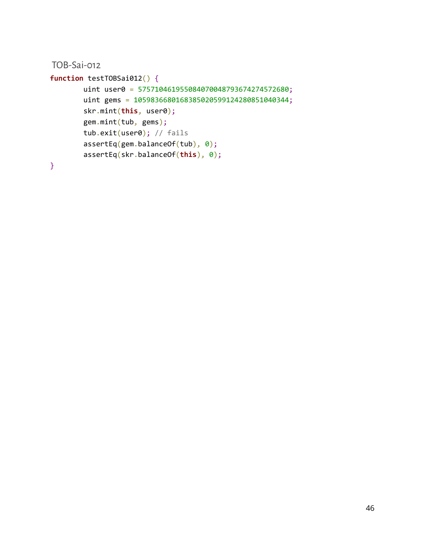<span id="page-45-0"></span>TOB-Sai-012

```
function testTOBSai012() {
       uint user0 = 575710461955084070048793674274572680;
        uint gems = 1059836680168385020599124280851040344;
        skr.mint(this, user0);
        gem.mint(tub, gems);
        tub.exit(user0); // fails
        assertEq(gem.balanceOf(tub), 0);
        assertEq(skr.balanceOf(this), 0);
```
}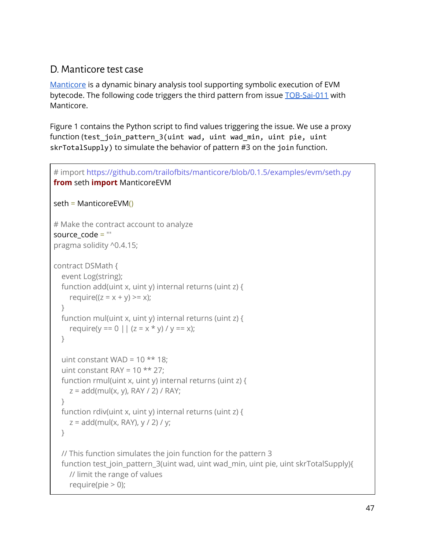## <span id="page-46-0"></span>D. Manticore test case

[Manticore](https://github.com/trailofbits/manticore) is a dynamic binary analysis tool supporting symbolic execution of EVM bytecode. The following code triggers the third pattern from issue [TOB-Sai-011](#page-28-0) with Manticore.

Figure 1 contains the Python script to find values triggering the issue. We use a proxy function (test\_join\_pattern\_3(uint wad, uint wad\_min, uint pie, uint skrTotalSupply) to simulate the behavior of pattern #3 on the join function.

```
# import https://github.com/trailofbits/manticore/blob/0.1.5/examples/evm/seth.py
from seth import ManticoreEVM
seth = ManticoreEVM()
# Make the contract account to analyze
source code = "pragma solidity ^0.4.15;
contract DSMath {
  event Log(string);
  function add(uint x, uint y) internal returns (uint z) {
    require((z = x + y) \ge x);
  }
  function mul(uint x, uint y) internal returns (uint z) {
    require(y == 0 || (z = x * y) / y == x);
  }
  uint constant WAD = 10 \times 18;
  uint constant RAY = 10 \star x 27;
  function rmul(uint x, uint y) internal returns (uint z) {
    z = add(mul(x, y), RAY / 2) / RAY;
  }
  function rdiv(uint x, uint y) internal returns (uint z) {
    z = add(mul(x, RAY), y / 2) / y;}
  // This function simulates the join function for the pattern 3
  function test_join_pattern_3(uint wad, uint wad_min, uint pie, uint skrTotalSupply){
    // limit the range of values
    require(pie > 0);
```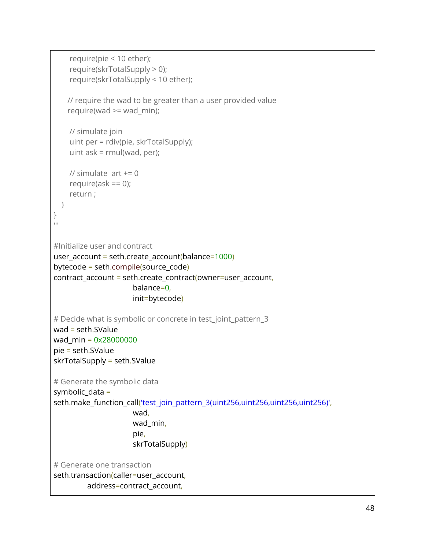```
require(pie < 10 ether);
    require(skrTotalSupply > 0);
    require(skrTotalSupply < 10 ether);
   // require the wad to be greater than a user provided value
   require(wad >= wad_min);
    // simulate join
    uint per = rdiv(pie, skrTotalSupply);
    uint ask = rmul(wad, per);// simulate art += 0require(ask == 0);
    return ;
 }
}
^{\rm{III}}#Initialize user and contract
user account = seth.create account(balance=1000)bytecode = seth.compile(source_code)
contract_account = seth.create_contract(owner=user_account,
                      balance=0,
                      init=bytecode)
# Decide what is symbolic or concrete in test_joint_pattern_3
wad = seth.SValue
wad_min = 0x28000000
pie = seth.SValue
skrTotalSupply = seth.SValue
# Generate the symbolic data
symbolic data =seth.make_function_call('test_join_pattern_3(uint256,uint256,uint256,uint256)',
                      wad,
                      wad_min,
                      pie,
                      skrTotalSupply)
# Generate one transaction
seth.transaction(caller=user_account,
         address=contract_account,
```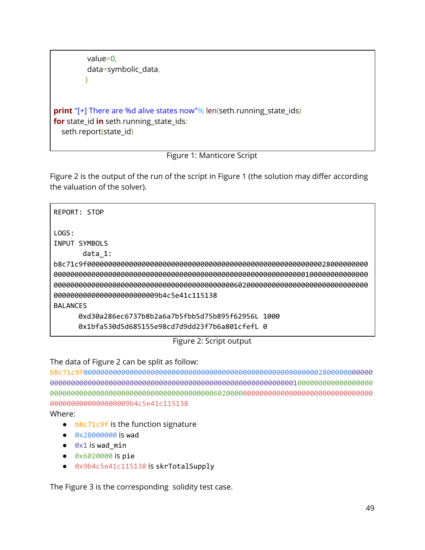```
value=0,
data=symbolic_data,
\lambda
```
**print** "[+] There are %d alive states now"% len(seth.running\_state\_ids) **for** state\_id **in** seth.running\_state\_ids: seth.report(state\_id)

Figure 1: Manticore Script

Figure 2 is the output of the run of the script in Figure 1 (the solution may differ according the valuation of the solver).

```
REPORT: STOP
LOGS:
INPUT SYMBOLS
      data_1:
b8c71c9f0000000000000000000000000000000000000000000000000000000028000000000
000000000000000000000000000000000000000000000000000000000000100000000000000
000000000000000000000000000000000000000000060200000000000000000000000000000
0000000000000000000000009b4c5e41c115138
BALANCES
     0xd30a286ec6737b8b2a6a7b5fbb5d75b895f62956L 1000
     0x1bfa530d5d685155e98cd7d9dd23f7b6a801cfefL 0
```
Figure 2: Script output

The data of Figure 2 can be split as follow:

b8c71c9f000000000000000000000000000000000000000000000000000000002800000000000 00000000000000000000000000000000000000000000000000000000001000000000000000000 00000000000000000000000000000000000000060200000000000000000000000000000000000 0000000000000000009b4c5e41c115138

Where:

- **b8c71c9f** is the function signature
- 0x28000000 is wad
- $\bullet$   $\theta \times 1$  is wad min
- 0x6020000 is pie
- 0x9b4c5e41c115138 is skrTotalSupply

The Figure 3 is the corresponding solidity test case.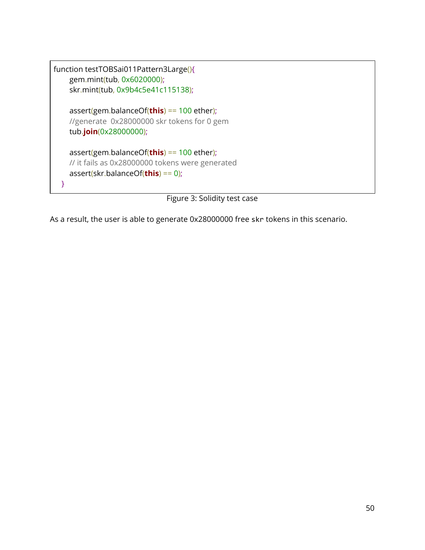```
function testTOBSai011Pattern3Large(){
    gem.mint(tub, 0x6020000);
    skr.mint(tub, 0x9b4c5e41c115138);
    assert(gem.balanceOf(this) == 100 ether);
    //generate 0x28000000 skr tokens for 0 gem
    tub.join(0x28000000);
    assert(gem.balanceOf(this) == 100 ether);
    // it fails as 0x28000000 tokens were generated
    assert(skr.balanceOf(this) == 0);
  }
```
Figure 3: Solidity test case

As a result, the user is able to generate 0x28000000 free skr tokens in this scenario.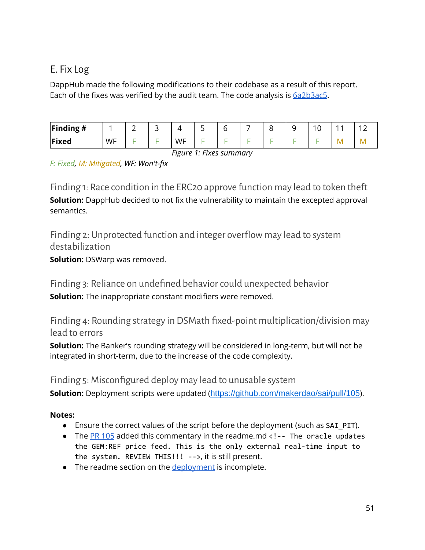## <span id="page-50-0"></span>E. Fix Log

DappHub made the following modifications to their codebase as a result of this report. Each of the fixes was verified by the audit team. The code analysis is  $6a2b3ac5$ .

| Finding $#$  |    |  |    | ۰ |  |  | $\sim$ | . . | $\sim$<br>. . |
|--------------|----|--|----|---|--|--|--------|-----|---------------|
| <b>Fixed</b> | WF |  | WF |   |  |  |        | ΙM  |               |

*Figure 1: Fixes summary*

<span id="page-50-1"></span>*F: Fixed, M: Mitigated, WF: Won't-fix*

Finding 1: Race condition in the ERC20 approve function may lead to token thet **Solution:** DappHub decided to not fix the vulnerability to maintain the excepted approval semantics.

<span id="page-50-2"></span>Finding 2: Unprotected function and integer overlow may lead to system destabilization

<span id="page-50-3"></span>**Solution:** DSWarp was removed.

Finding 3: Reliance on undefined behavior could unexpected behavior **Solution:** The inappropriate constant modifiers were removed.

<span id="page-50-4"></span>Finding 4: Rounding strategy in DSMath fixed-point multiplication/division may lead to errors

**Solution:** The Banker's rounding strategy will be considered in long-term, but will not be integrated in short-term, due to the increase of the code complexity.

### <span id="page-50-5"></span>Finding 5: Misconfigured deploy may lead to unusable system

**Solution:** Deployment scripts were updated (https://github.com/makerdao/sai/pull/105).

#### **Notes:**

- Ensure the correct values of the script before the deployment (such as SAI\_PIT).
- The PR [105](https://github.com/makerdao/sai/pull/105/files) added this commentary in the readme.md <!-- The oracle updates the GEM:REF price feed. This is the only external real-time input to the system. REVIEW THIS!!! -->, it is still present.
- The readme section on the [deployment](https://github.com/makerdao/sai/tree/6a2b3ac54538dedb14d329af446bd2aa175b27a8#current-deployments) is incomplete.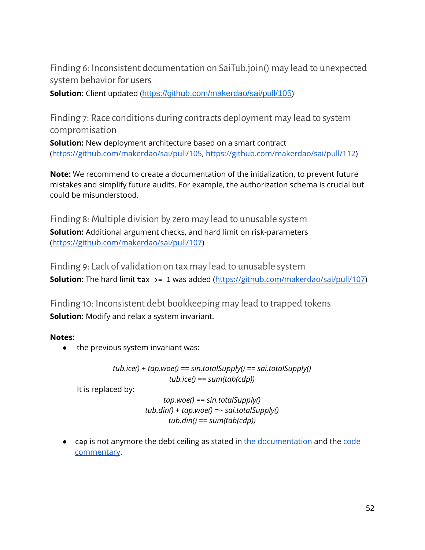<span id="page-51-0"></span>Finding 6: Inconsistent documentation on SaiTub.join() may lead to unexpected system behavior for users

<span id="page-51-1"></span>**Solution:** Client updated (https://github.com/makerdao/sai/pull/105)

Finding 7: Race conditions during contracts deployment may lead to system compromisation

**Solution:** New deployment architecture based on a smart contract [\(https://github.com/makerdao/sai/pull/105](https://github.com/makerdao/sai/pull/105), <https://github.com/makerdao/sai/pull/112>)

**Note:** We recommend to create a documentation of the initialization, to prevent future mistakes and simplify future audits. For example, the authorization schema is crucial but could be misunderstood.

<span id="page-51-2"></span>Finding 8: Multiple division by zero may lead to unusable system **Solution:** Additional argument checks, and hard limit on risk-parameters [\(https://github.com/makerdao/sai/pull/107](https://github.com/makerdao/sai/pull/107))

<span id="page-51-3"></span>Finding 9: Lack of validation on tax may lead to unusable system **Solution:** The hard limit tax >= 1 was added [\(https://github.com/makerdao/sai/pull/107](https://github.com/makerdao/sai/pull/107))

<span id="page-51-4"></span>Finding 10: Inconsistent debt bookkeeping may lead to trapped tokens **Solution:** Modify and relax a system invariant.

#### **Notes:**

• the previous system invariant was:

*tub.ice() + tap.woe() == sin.totalSupply() == sai.totalSupply() tub.ice() == sum(tab(cdp))*

It is replaced by:

*tap.woe() == sin.totalSupply() tub.din() + tap.woe() =~ sai.totalSupply() tub.din() == sum(tab(cdp))*

● cap is not anymore the debt ceiling as stated in the [documentation](https://github.com/makerdao/sai/tree/6a2b3ac54538dedb14d329af446bd2aa175b27a8#sai-glossary-sai-help) and the [code](https://github.com/makerdao/sai/blob/6a2b3ac54538dedb14d329af446bd2aa175b27a8/src/tub.sol#L36) [commentary](https://github.com/makerdao/sai/blob/6a2b3ac54538dedb14d329af446bd2aa175b27a8/src/tub.sol#L36).